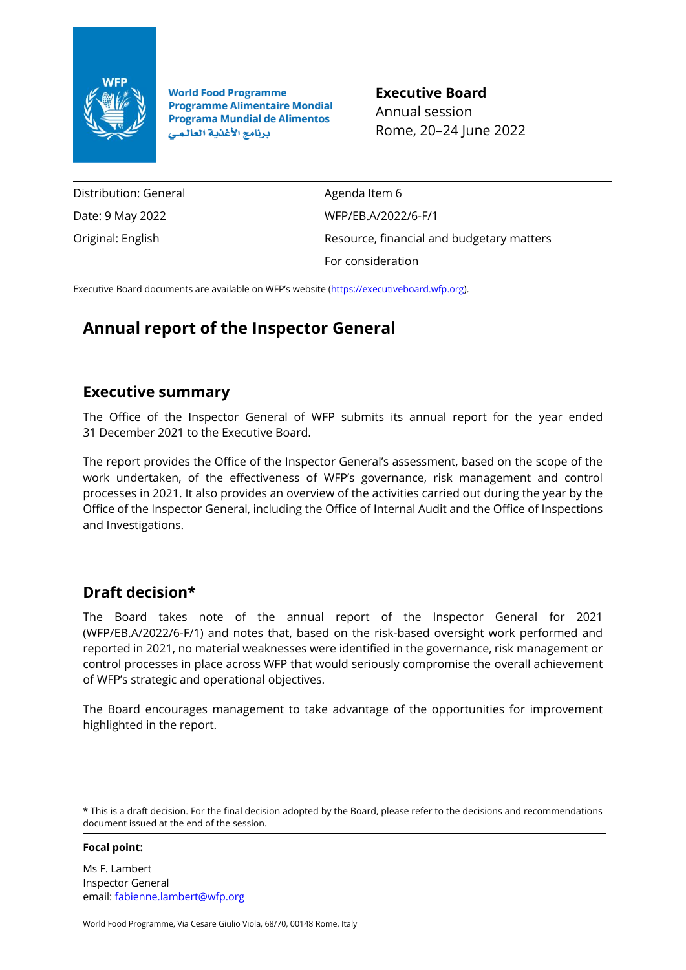

**World Food Programme Programme Alimentaire Mondial Programa Mundial de Alimentos** برنامج الأغذية العالمي

**Executive Board** Annual session Rome, 20–24 June 2022

Distribution: General Date: 9 May 2022 Original: English

Agenda Item 6 WFP/EB.A/2022/6-F/1 Resource, financial and budgetary matters For consideration

Executive Board documents are available on WFP's website [\(https://executiveboard.wfp.org\)](https://executiveboard.wfp.org/).

# **Annual report of the Inspector General**

# **Executive summary**

The Office of the Inspector General of WFP submits its annual report for the year ended 31 December 2021 to the Executive Board.

The report provides the Office of the Inspector General's assessment, based on the scope of the work undertaken, of the effectiveness of WFP's governance, risk management and control processes in 2021. It also provides an overview of the activities carried out during the year by the Office of the Inspector General, including the Office of Internal Audit and the Office of Inspections and Investigations.

# **Draft decision\***

The Board takes note of the annual report of the Inspector General for 2021 (WFP/EB.A/2022/6-F/1) and notes that, based on the risk-based oversight work performed and reported in 2021, no material weaknesses were identified in the governance, risk management or control processes in place across WFP that would seriously compromise the overall achievement of WFP's strategic and operational objectives.

The Board encourages management to take advantage of the opportunities for improvement highlighted in the report.

**Focal point:**

World Food Programme, Via Cesare Giulio Viola, 68/70, 00148 Rome, Italy

<sup>\*</sup> This is a draft decision. For the final decision adopted by the Board, please refer to the decisions and recommendations document issued at the end of the session.

Ms F. Lambert Inspector General email[: fabienne.lambert@wfp.org](mailto:fabienne.lambert@wfp.org)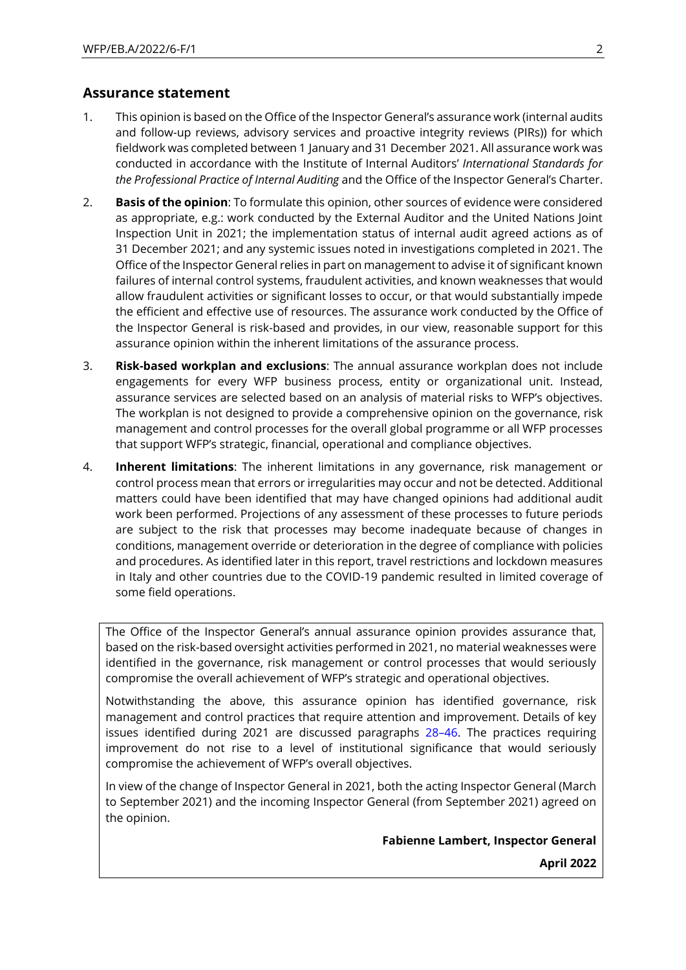## **Assurance statement**

- 1. This opinion is based on the Office of the Inspector General's assurance work (internal audits and follow-up reviews, advisory services and proactive integrity reviews (PIRs)) for which fieldwork was completed between 1 January and 31 December 2021. All assurance work was conducted in accordance with the Institute of Internal Auditors' *International Standards for the Professional Practice of Internal Auditing* and the Office of the Inspector General's Charter.
- 2. **Basis of the opinion**: To formulate this opinion, other sources of evidence were considered as appropriate, e.g.: work conducted by the External Auditor and the United Nations Joint Inspection Unit in 2021; the implementation status of internal audit agreed actions as of 31 December 2021; and any systemic issues noted in investigations completed in 2021. The Office of the Inspector General relies in part on management to advise it of significant known failures of internal control systems, fraudulent activities, and known weaknesses that would allow fraudulent activities or significant losses to occur, or that would substantially impede the efficient and effective use of resources. The assurance work conducted by the Office of the Inspector General is risk-based and provides, in our view, reasonable support for this assurance opinion within the inherent limitations of the assurance process.
- 3. **Risk-based workplan and exclusions**: The annual assurance workplan does not include engagements for every WFP business process, entity or organizational unit. Instead, assurance services are selected based on an analysis of material risks to WFP's objectives. The workplan is not designed to provide a comprehensive opinion on the governance, risk management and control processes for the overall global programme or all WFP processes that support WFP's strategic, financial, operational and compliance objectives.
- 4. **Inherent limitations**: The inherent limitations in any governance, risk management or control process mean that errors or irregularities may occur and not be detected. Additional matters could have been identified that may have changed opinions had additional audit work been performed. Projections of any assessment of these processes to future periods are subject to the risk that processes may become inadequate because of changes in conditions, management override or deterioration in the degree of compliance with policies and procedures. As identified later in this report, travel restrictions and lockdown measures in Italy and other countries due to the COVID-19 pandemic resulted in limited coverage of some field operations.

The Office of the Inspector General's annual assurance opinion provides assurance that, based on the risk-based oversight activities performed in 2021, no material weaknesses were identified in the governance, risk management or control processes that would seriously compromise the overall achievement of WFP's strategic and operational objectives.

Notwithstanding the above, this assurance opinion has identified governance, risk management and control practices that require attention and improvement. Details of key issues identified during 2021 are discussed paragraphs 28–[46.](#page-7-0) The practices requiring improvement do not rise to a level of institutional significance that would seriously compromise the achievement of WFP's overall objectives.

In view of the change of Inspector General in 2021, both the acting Inspector General (March to September 2021) and the incoming Inspector General (from September 2021) agreed on the opinion.

**Fabienne Lambert, Inspector General**

**April 2022**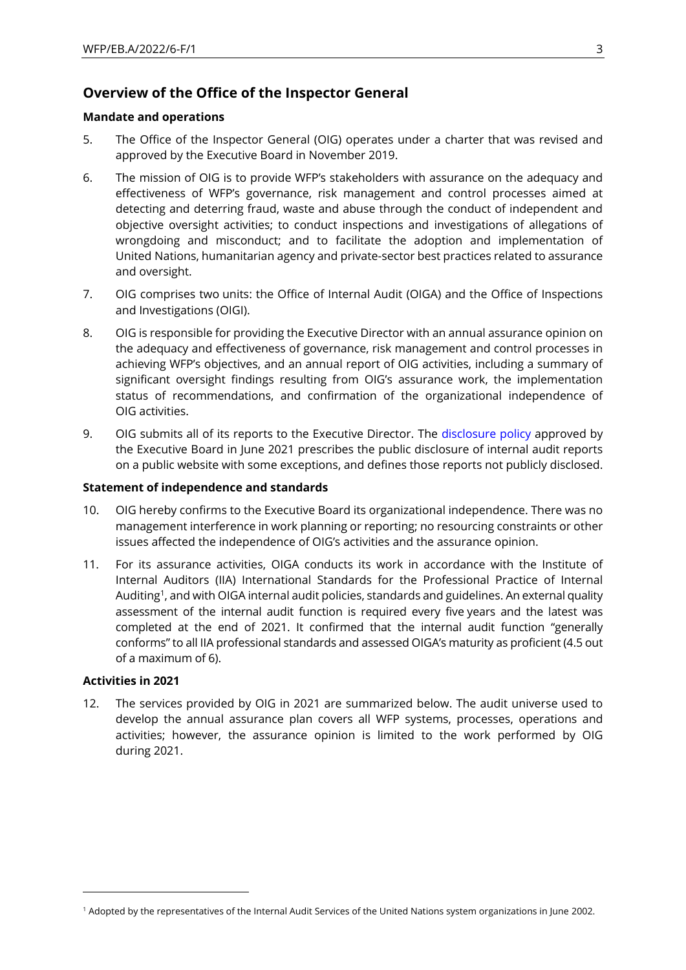## **Overview of the Office of the Inspector General**

#### **Mandate and operations**

- 5. The Office of the Inspector General (OIG) operates under a [charter](https://docs.wfp.org/api/documents/WFP-0000108551/download/) that was revised and approved by the Executive Board in November 2019.
- 6. The mission of OIG is to provide WFP's stakeholders with assurance on the adequacy and effectiveness of WFP's governance, risk management and control processes aimed at detecting and deterring fraud, waste and abuse through the conduct of independent and objective oversight activities; to conduct inspections and investigations of allegations of wrongdoing and misconduct; and to facilitate the adoption and implementation of United Nations, humanitarian agency and private-sector best practices related to assurance and oversight.
- 7. OIG comprises two units: the Office of Internal Audit (OIGA) and the Office of Inspections and Investigations (OIGI).
- 8. OIG is responsible for providing the Executive Director with an annual assurance opinion on the adequacy and effectiveness of governance, risk management and control processes in achieving WFP's objectives, and an annual report of OIG activities, including a summary of significant oversight findings resulting from OIG's assurance work, the implementation status of recommendations, and confirmation of the organizational independence of OIG activities.
- 9. OIG submits all of its reports to the Executive Director. The [disclosure policy](https://executiveboard.wfp.org/document_download/WFP-0000127459) approved by the Executive Board in June 2021 prescribes the public disclosure of internal audit reports on a public website with some exceptions, and defines those reports not publicly disclosed.

#### **Statement of independence and standards**

- 10. OIG hereby confirms to the Executive Board its organizational independence. There was no management interference in work planning or reporting; no resourcing constraints or other issues affected the independence of OIG's activities and the assurance opinion.
- 11. For its assurance activities, OIGA conducts its work in accordance with the Institute of Internal Auditors (IIA) International Standards for the Professional Practice of Internal Auditing<sup>1</sup>, and with OIGA internal audit policies, standards and guidelines. An external quality assessment of the internal audit function is required every five years and the latest was completed at the end of 2021. It confirmed that the internal audit function "generally conforms" to all IIA professional standards and assessed OIGA's maturity as proficient (4.5 out of a maximum of 6).

#### **Activities in 2021**

12. The services provided by OIG in 2021 are summarized below. The audit universe used to develop the annual assurance plan covers all WFP systems, processes, operations and activities; however, the assurance opinion is limited to the work performed by OIG during 2021.

<sup>1</sup> Adopted by the representatives of the Internal Audit Services of the United Nations system organizations in June 2002.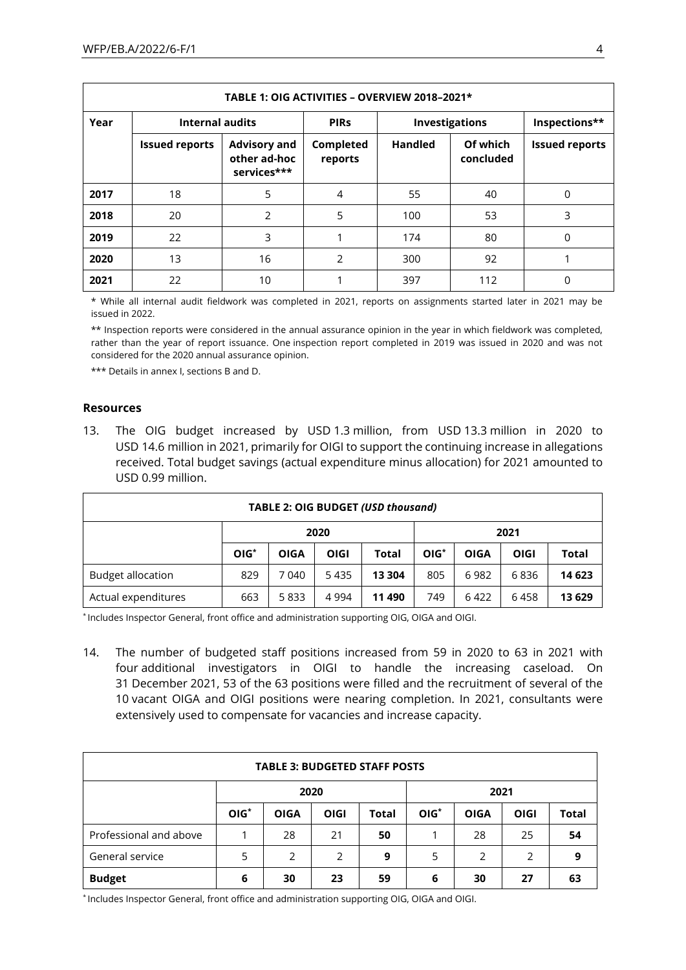|      | TABLE 1: OIG ACTIVITIES - OVERVIEW 2018-2021*                  |                                                    |                      |                |                       |                       |  |  |  |
|------|----------------------------------------------------------------|----------------------------------------------------|----------------------|----------------|-----------------------|-----------------------|--|--|--|
| Year | <b>Internal audits</b><br><b>Investigations</b><br><b>PIRS</b> |                                                    | Inspections**        |                |                       |                       |  |  |  |
|      | <b>Issued reports</b>                                          | <b>Advisory and</b><br>other ad-hoc<br>services*** | Completed<br>reports | <b>Handled</b> | Of which<br>concluded | <b>Issued reports</b> |  |  |  |
| 2017 | 18                                                             | 5                                                  | 4                    | 55             | 40                    | 0                     |  |  |  |
| 2018 | 20                                                             | 2                                                  | 5                    | 100            | 53                    | 3                     |  |  |  |
| 2019 | 22                                                             | 3                                                  |                      | 174            | 80                    | 0                     |  |  |  |
| 2020 | 13                                                             | 16                                                 | 2                    | 300            | 92                    |                       |  |  |  |
| 2021 | 22                                                             | 10                                                 |                      | 397            | 112                   | 0                     |  |  |  |

\* While all internal audit fieldwork was completed in 2021, reports on assignments started later in 2021 may be issued in 2022.

\*\* Inspection reports were considered in the annual assurance opinion in the year in which fieldwork was completed, rather than the year of report issuance. One inspection report completed in 2019 was issued in 2020 and was not considered for the 2020 annual assurance opinion.

\*\*\* Details in annex I, sections B and D.

#### **Resources**

13. The OIG budget increased by USD 1.3 million, from USD 13.3 million in 2020 to USD 14.6 million in 2021, primarily for OIGI to support the continuing increase in allegations received. Total budget savings (actual expenditure minus allocation) for 2021 amounted to USD 0.99 million.

| <b>TABLE 2: OIG BUDGET (USD thousand)</b>                                      |                                               |       |      |        |        |             |      |              |
|--------------------------------------------------------------------------------|-----------------------------------------------|-------|------|--------|--------|-------------|------|--------------|
|                                                                                | 2021<br>2020                                  |       |      |        |        |             |      |              |
|                                                                                | $OIG*$<br><b>OIGI</b><br>Total<br><b>OIGA</b> |       |      |        | $OIG*$ | <b>OIGA</b> | OIGI | <b>Total</b> |
| <b>Budget allocation</b>                                                       | 829                                           | 7 040 | 5435 | 13 304 | 805    | 6982        | 6836 | 14 623       |
| 749<br>Actual expenditures<br>663<br>5833<br>4 9 9 4<br>6458<br>11 490<br>6422 |                                               |       |      |        |        | 13 629      |      |              |

\* Includes Inspector General, front office and administration supporting OIG, OIGA and OIGI.

14. The number of budgeted staff positions increased from 59 in 2020 to 63 in 2021 with four additional investigators in OIGI to handle the increasing caseload. On 31 December 2021, 53 of the 63 positions were filled and the recruitment of several of the 10 vacant OIGA and OIGI positions were nearing completion. In 2021, consultants were extensively used to compensate for vacancies and increase capacity.

| <b>TABLE 3: BUDGETED STAFF POSTS</b>                  |        |             |             |       |        |             |             |              |
|-------------------------------------------------------|--------|-------------|-------------|-------|--------|-------------|-------------|--------------|
|                                                       |        | 2020        |             |       |        | 2021        |             |              |
|                                                       | $OIG*$ | <b>OIGA</b> | <b>OIGI</b> | Total | $OIG*$ | <b>OIGA</b> | <b>OIGI</b> | <b>Total</b> |
| Professional and above                                |        | 28          | 21          | 50    |        | 28          | 25          | 54           |
| General service<br>5<br>2<br>2<br>5<br>9<br>2         |        |             |             |       | 2      | 9           |             |              |
| <b>Budget</b><br>59<br>30<br>27<br>6<br>30<br>23<br>6 |        |             |             |       |        | 63          |             |              |

\* Includes Inspector General, front office and administration supporting OIG, OIGA and OIGI.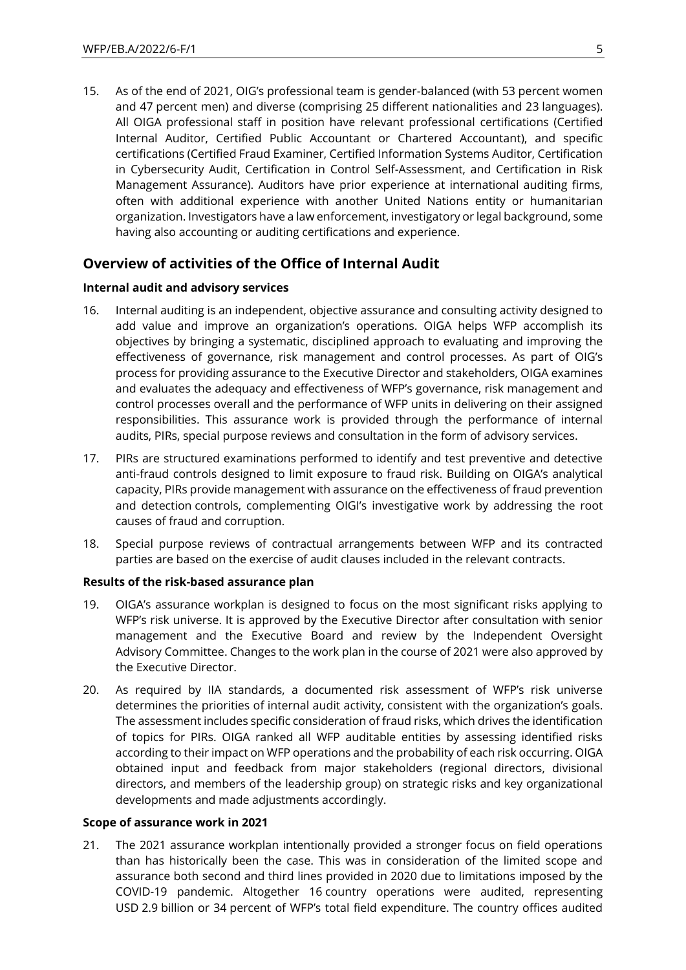15. As of the end of 2021, OIG's professional team is gender-balanced (with 53 percent women and 47 percent men) and diverse (comprising 25 different nationalities and 23 languages). All OIGA professional staff in position have relevant professional certifications (Certified Internal Auditor, Certified Public Accountant or Chartered Accountant), and specific certifications (Certified Fraud Examiner, Certified Information Systems Auditor, Certification in Cybersecurity Audit, Certification in Control Self-Assessment, and Certification in Risk Management Assurance). Auditors have prior experience at international auditing firms, often with additional experience with another United Nations entity or humanitarian organization. Investigators have a law enforcement, investigatory or legal background, some having also accounting or auditing certifications and experience.

## **Overview of activities of the Office of Internal Audit**

#### **Internal audit and advisory services**

- 16. Internal auditing is an independent, objective assurance and consulting activity designed to add value and improve an organization's operations. OIGA helps WFP accomplish its objectives by bringing a systematic, disciplined approach to evaluating and improving the effectiveness of governance, risk management and control processes. As part of OIG's process for providing assurance to the Executive Director and stakeholders, OIGA examines and evaluates the adequacy and effectiveness of WFP's governance, risk management and control processes overall and the performance of WFP units in delivering on their assigned responsibilities. This assurance work is provided through the performance of internal audits, PIRs, special purpose reviews and consultation in the form of advisory services.
- 17. PIRs are structured examinations performed to identify and test preventive and detective anti-fraud controls designed to limit exposure to fraud risk. Building on OIGA's analytical capacity, PIRs provide management with assurance on the effectiveness of fraud prevention and detection controls, complementing OIGI's investigative work by addressing the root causes of fraud and corruption.
- 18. Special purpose reviews of contractual arrangements between WFP and its contracted parties are based on the exercise of audit clauses included in the relevant contracts.

#### **Results of the risk-based assurance plan**

- 19. OIGA's assurance workplan is designed to focus on the most significant risks applying to WFP's risk universe. It is approved by the Executive Director after consultation with senior management and the Executive Board and review by the Independent Oversight Advisory Committee. Changes to the work plan in the course of 2021 were also approved by the Executive Director.
- 20. As required by IIA standards, a documented risk assessment of WFP's risk universe determines the priorities of internal audit activity, consistent with the organization's goals. The assessment includes specific consideration of fraud risks, which drives the identification of topics for PIRs. OIGA ranked all WFP auditable entities by assessing identified risks according to their impact on WFP operations and the probability of each risk occurring. OIGA obtained input and feedback from major stakeholders (regional directors, divisional directors, and members of the leadership group) on strategic risks and key organizational developments and made adjustments accordingly.

#### **Scope of assurance work in 2021**

21. The 2021 assurance workplan intentionally provided a stronger focus on field operations than has historically been the case. This was in consideration of the limited scope and assurance both second and third lines provided in 2020 due to limitations imposed by the COVID-19 pandemic. Altogether 16 country operations were audited, representing USD 2.9 billion or 34 percent of WFP's total field expenditure. The country offices audited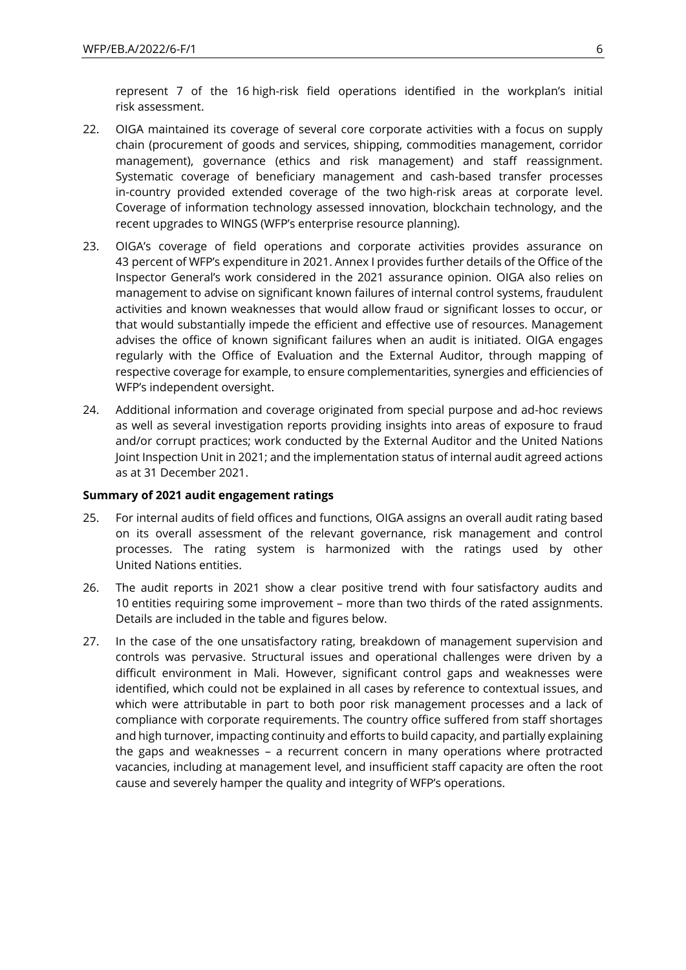represent 7 of the 16 high-risk field operations identified in the workplan's initial risk assessment.

- 22. OIGA maintained its coverage of several core corporate activities with a focus on supply chain (procurement of goods and services, shipping, commodities management, corridor management), governance (ethics and risk management) and staff reassignment. Systematic coverage of beneficiary management and cash-based transfer processes in-country provided extended coverage of the two high-risk areas at corporate level. Coverage of information technology assessed innovation, blockchain technology, and the recent upgrades to WINGS (WFP's enterprise resource planning).
- 23. OIGA's coverage of field operations and corporate activities provides assurance on 43 percent of WFP's expenditure in 2021. Annex I provides further details of the Office of the Inspector General's work considered in the 2021 assurance opinion. OIGA also relies on management to advise on significant known failures of internal control systems, fraudulent activities and known weaknesses that would allow fraud or significant losses to occur, or that would substantially impede the efficient and effective use of resources. Management advises the office of known significant failures when an audit is initiated. OIGA engages regularly with the Office of Evaluation and the External Auditor, through mapping of respective coverage for example, to ensure complementarities, synergies and efficiencies of WFP's independent oversight.
- 24. Additional information and coverage originated from special purpose and ad-hoc reviews as well as several investigation reports providing insights into areas of exposure to fraud and/or corrupt practices; work conducted by the External Auditor and the United Nations Joint Inspection Unit in 2021; and the implementation status of internal audit agreed actions as at 31 December 2021.

#### **Summary of 2021 audit engagement ratings**

- 25. For internal audits of field offices and functions, OIGA assigns an overall audit rating based on its overall assessment of the relevant governance, risk management and control processes. The rating system is harmonized with the ratings used by other United Nations entities.
- 26. The audit reports in 2021 show a clear positive trend with four satisfactory audits and 10 entities requiring some improvement – more than two thirds of the rated assignments. Details are included in the table and figures below.
- 27. In the case of the one unsatisfactory rating, breakdown of management supervision and controls was pervasive. Structural issues and operational challenges were driven by a difficult environment in Mali. However, significant control gaps and weaknesses were identified, which could not be explained in all cases by reference to contextual issues, and which were attributable in part to both poor risk management processes and a lack of compliance with corporate requirements. The country office suffered from staff shortages and high turnover, impacting continuity and efforts to build capacity, and partially explaining the gaps and weaknesses – a recurrent concern in many operations where protracted vacancies, including at management level, and insufficient staff capacity are often the root cause and severely hamper the quality and integrity of WFP's operations.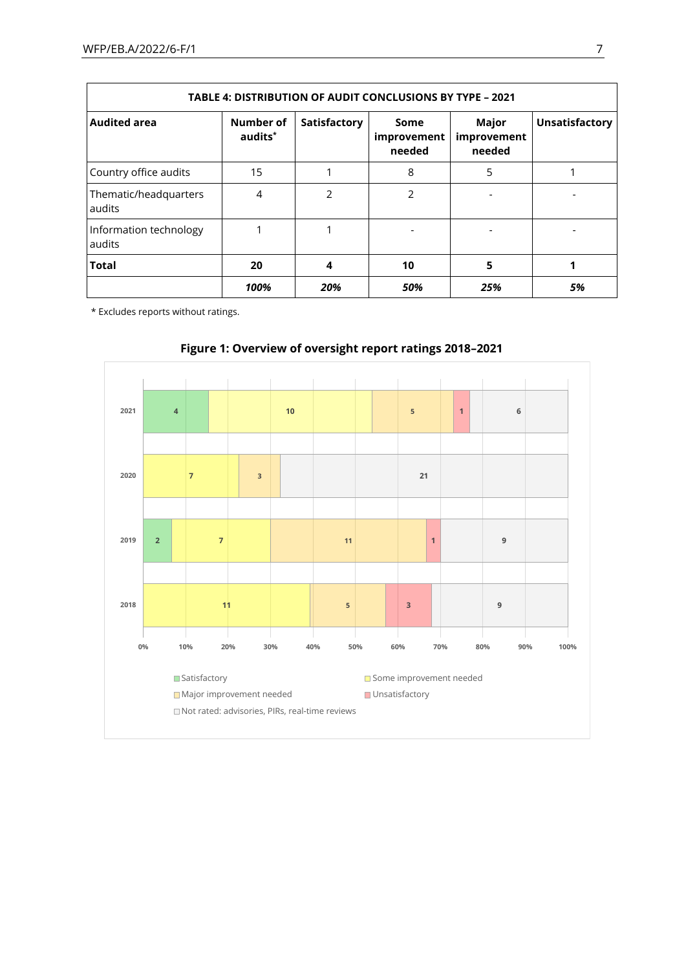| TABLE 4: DISTRIBUTION OF AUDIT CONCLUSIONS BY TYPE - 2021 |                                  |              |                               |                                |                       |  |  |
|-----------------------------------------------------------|----------------------------------|--------------|-------------------------------|--------------------------------|-----------------------|--|--|
| <b>Audited area</b>                                       | Number of<br>audits <sup>*</sup> | Satisfactory | Some<br>improvement<br>needed | Major<br>improvement<br>needed | <b>Unsatisfactory</b> |  |  |
| Country office audits                                     | 15                               |              | 8                             | 5                              |                       |  |  |
| Thematic/headquarters<br>audits                           | 4                                | 2            | $\mathcal{P}$                 |                                |                       |  |  |
| Information technology<br>audits                          |                                  |              |                               |                                |                       |  |  |
| <b>Total</b>                                              | 20                               | 4            | 10                            | 5                              |                       |  |  |
|                                                           | 100%                             | 20%          | 50%                           | 25%                            | 5%                    |  |  |

\* Excludes reports without ratings.



## **Figure 1: Overview of oversight report ratings 2018–2021**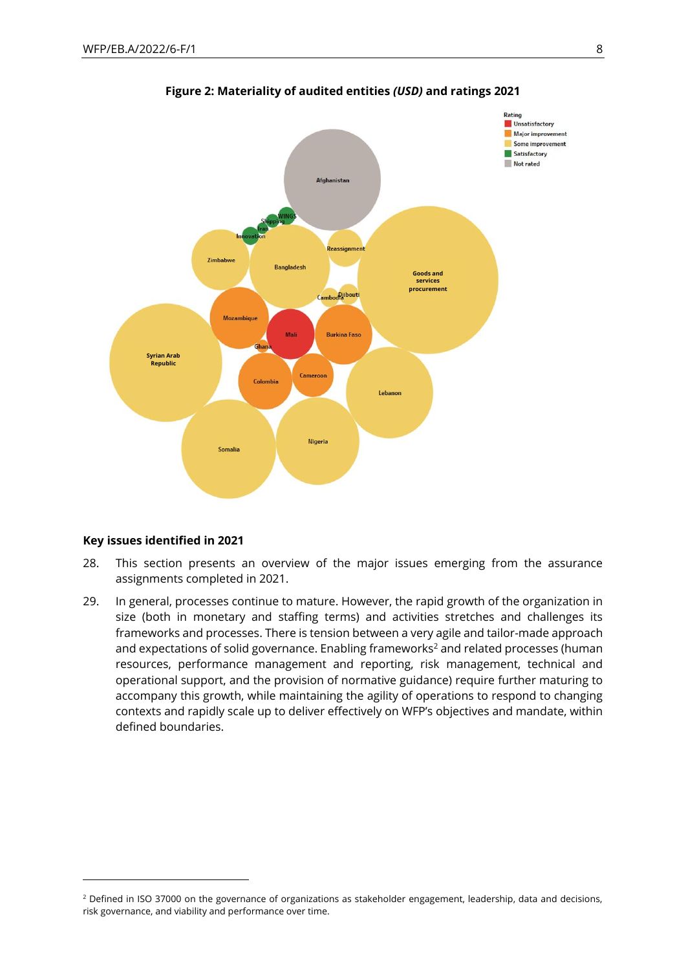

**Figure 2: Materiality of audited entities** *(USD)* **and ratings 2021**

#### <span id="page-7-0"></span>**Key issues identified in 2021**

- 28. This section presents an overview of the major issues emerging from the assurance assignments completed in 2021.
- 29. In general, processes continue to mature. However, the rapid growth of the organization in size (both in monetary and staffing terms) and activities stretches and challenges its frameworks and processes. There is tension between a very agile and tailor-made approach and expectations of solid governance. Enabling frameworks<sup>2</sup> and related processes (human resources, performance management and reporting, risk management, technical and operational support, and the provision of normative guidance) require further maturing to accompany this growth, while maintaining the agility of operations to respond to changing contexts and rapidly scale up to deliver effectively on WFP's objectives and mandate, within defined boundaries.

<sup>&</sup>lt;sup>2</sup> Defined in ISO 37000 on the governance of organizations as stakeholder engagement, leadership, data and decisions, risk governance, and viability and performance over time.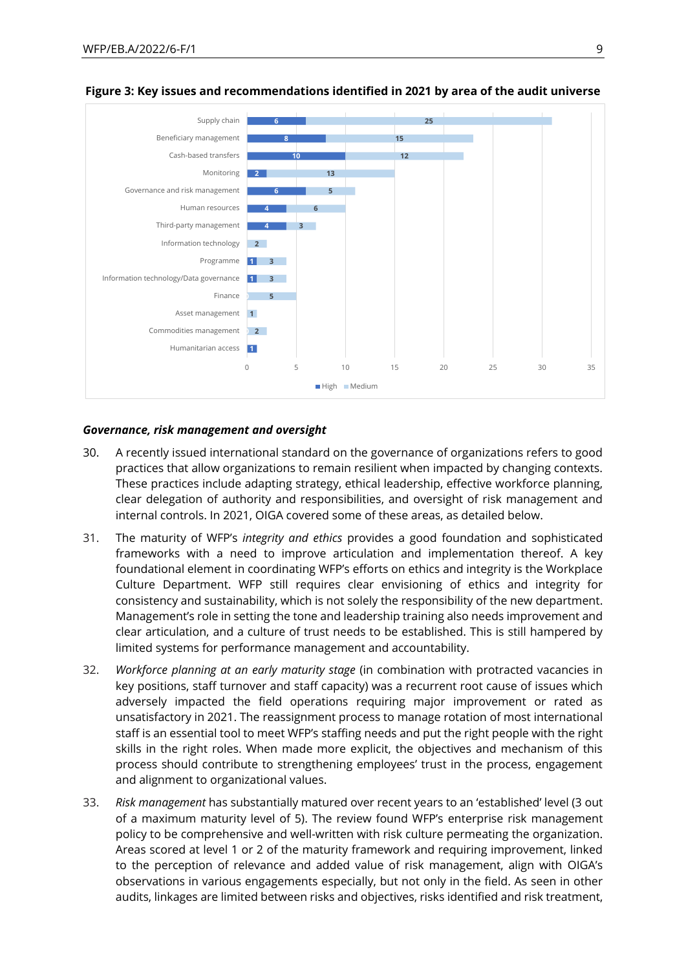

#### **Figure 3: Key issues and recommendations identified in 2021 by area of the audit universe**

#### *Governance, risk management and oversight*

- 30. A recently issued international standard on the governance of organizations refers to good practices that allow organizations to remain resilient when impacted by changing contexts. These practices include adapting strategy, ethical leadership, effective workforce planning, clear delegation of authority and responsibilities, and oversight of risk management and internal controls. In 2021, OIGA covered some of these areas, as detailed below.
- 31. The maturity of WFP's *integrity and ethics* provides a good foundation and sophisticated frameworks with a need to improve articulation and implementation thereof. A key foundational element in coordinating WFP's efforts on ethics and integrity is the Workplace Culture Department. WFP still requires clear envisioning of ethics and integrity for consistency and sustainability, which is not solely the responsibility of the new department. Management's role in setting the tone and leadership training also needs improvement and clear articulation, and a culture of trust needs to be established. This is still hampered by limited systems for performance management and accountability.
- 32. *Workforce planning at an early maturity stage* (in combination with protracted vacancies in key positions, staff turnover and staff capacity) was a recurrent root cause of issues which adversely impacted the field operations requiring major improvement or rated as unsatisfactory in 2021. The reassignment process to manage rotation of most international staff is an essential tool to meet WFP's staffing needs and put the right people with the right skills in the right roles. When made more explicit, the objectives and mechanism of this process should contribute to strengthening employees' trust in the process, engagement and alignment to organizational values.
- 33. *Risk management* has substantially matured over recent years to an 'established' level (3 out of a maximum maturity level of 5). The review found WFP's enterprise risk management policy to be comprehensive and well-written with risk culture permeating the organization. Areas scored at level 1 or 2 of the maturity framework and requiring improvement, linked to the perception of relevance and added value of risk management, align with OIGA's observations in various engagements especially, but not only in the field. As seen in other audits, linkages are limited between risks and objectives, risks identified and risk treatment,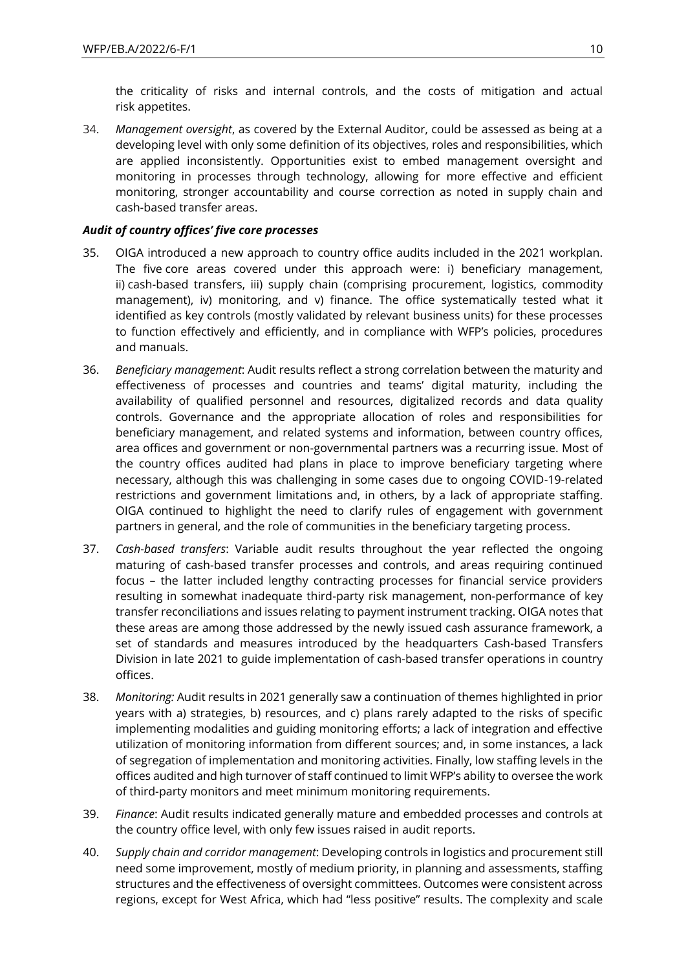the criticality of risks and internal controls, and the costs of mitigation and actual risk appetites.

34. *Management oversight*, as covered by the External Auditor, could be assessed as being at a developing level with only some definition of its objectives, roles and responsibilities, which are applied inconsistently. Opportunities exist to embed management oversight and monitoring in processes through technology, allowing for more effective and efficient monitoring, stronger accountability and course correction as noted in supply chain and cash-based transfer areas.

### *Audit of country offices' five core processes*

- 35. OIGA introduced a new approach to country office audits included in the 2021 workplan. The five core areas covered under this approach were: i) beneficiary management, ii) cash-based transfers, iii) supply chain (comprising procurement, logistics, commodity management), iv) monitoring, and v) finance. The office systematically tested what it identified as key controls (mostly validated by relevant business units) for these processes to function effectively and efficiently, and in compliance with WFP's policies, procedures and manuals.
- <span id="page-9-0"></span>36. *Beneficiary management*: Audit results reflect a strong correlation between the maturity and effectiveness of processes and countries and teams' digital maturity, including the availability of qualified personnel and resources, digitalized records and data quality controls. Governance and the appropriate allocation of roles and responsibilities for beneficiary management, and related systems and information, between country offices, area offices and government or non-governmental partners was a recurring issue. Most of the country offices audited had plans in place to improve beneficiary targeting where necessary, although this was challenging in some cases due to ongoing COVID-19-related restrictions and government limitations and, in others, by a lack of appropriate staffing. OIGA continued to highlight the need to clarify rules of engagement with government partners in general, and the role of communities in the beneficiary targeting process.
- 37. *Cash-based transfers*: Variable audit results throughout the year reflected the ongoing maturing of cash-based transfer processes and controls, and areas requiring continued focus – the latter included lengthy contracting processes for financial service providers resulting in somewhat inadequate third-party risk management, non-performance of key transfer reconciliations and issues relating to payment instrument tracking. OIGA notes that these areas are among those addressed by the newly issued cash assurance framework, a set of standards and measures introduced by the headquarters Cash-based Transfers Division in late 2021 to guide implementation of cash-based transfer operations in country offices.
- 38. *Monitoring:* Audit results in 2021 generally saw a continuation of themes highlighted in prior years with a) strategies, b) resources, and c) plans rarely adapted to the risks of specific implementing modalities and guiding monitoring efforts; a lack of integration and effective utilization of monitoring information from different sources; and, in some instances, a lack of segregation of implementation and monitoring activities. Finally, low staffing levels in the offices audited and high turnover of staff continued to limit WFP's ability to oversee the work of third-party monitors and meet minimum monitoring requirements.
- 39. *Finance*: Audit results indicated generally mature and embedded processes and controls at the country office level, with only few issues raised in audit reports.
- 40. *Supply chain and corridor management*: Developing controls in logistics and procurement still need some improvement, mostly of medium priority, in planning and assessments, staffing structures and the effectiveness of oversight committees. Outcomes were consistent across regions, except for West Africa, which had "less positive" results. The complexity and scale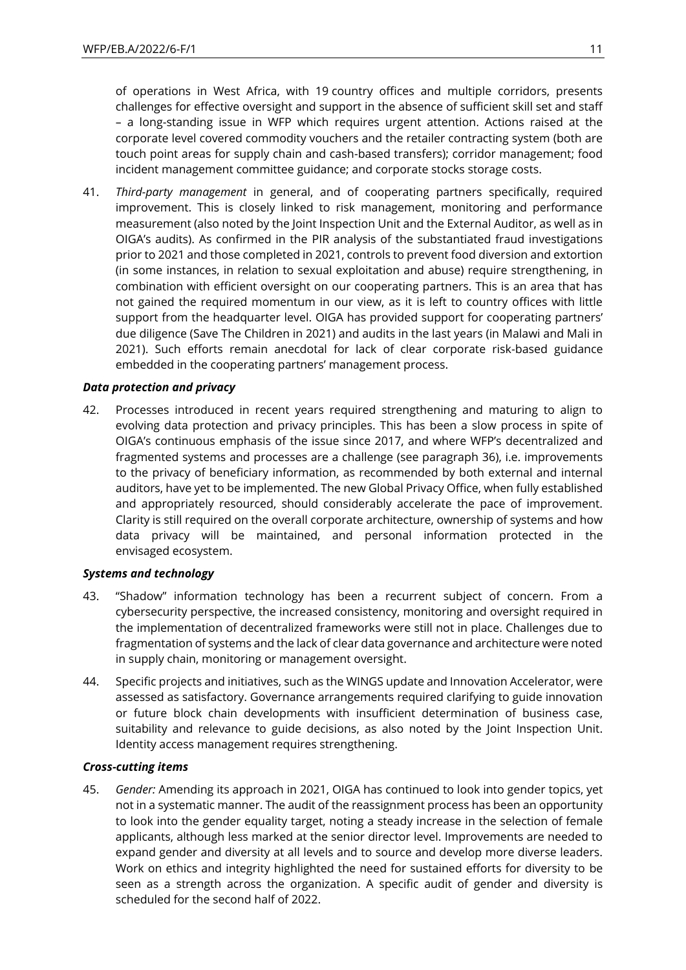of operations in West Africa, with 19 country offices and multiple corridors, presents challenges for effective oversight and support in the absence of sufficient skill set and staff – a long-standing issue in WFP which requires urgent attention. Actions raised at the corporate level covered commodity vouchers and the retailer contracting system (both are touch point areas for supply chain and cash-based transfers); corridor management; food incident management committee guidance; and corporate stocks storage costs.

41. *Third-party management* in general, and of cooperating partners specifically, required improvement. This is closely linked to risk management, monitoring and performance measurement (also noted by the Joint Inspection Unit and the External Auditor, as well as in OIGA's audits). As confirmed in the PIR analysis of the substantiated fraud investigations prior to 2021 and those completed in 2021, controls to prevent food diversion and extortion (in some instances, in relation to sexual exploitation and abuse) require strengthening, in combination with efficient oversight on our cooperating partners. This is an area that has not gained the required momentum in our view, as it is left to country offices with little support from the headquarter level. OIGA has provided support for cooperating partners' due diligence (Save The Children in 2021) and audits in the last years (in Malawi and Mali in 2021). Such efforts remain anecdotal for lack of clear corporate risk-based guidance embedded in the cooperating partners' management process.

#### *Data protection and privacy*

42. Processes introduced in recent years required strengthening and maturing to align to evolving data protection and privacy principles. This has been a slow process in spite of OIGA's continuous emphasis of the issue since 2017, and where WFP's decentralized and fragmented systems and processes are a challenge (see paragraph [36\)](#page-9-0), i.e. improvements to the privacy of beneficiary information, as recommended by both external and internal auditors, have yet to be implemented. The new Global Privacy Office, when fully established and appropriately resourced, should considerably accelerate the pace of improvement. Clarity is still required on the overall corporate architecture, ownership of systems and how data privacy will be maintained, and personal information protected in the envisaged ecosystem.

#### *Systems and technology*

- 43. "Shadow" information technology has been a recurrent subject of concern. From a cybersecurity perspective, the increased consistency, monitoring and oversight required in the implementation of decentralized frameworks were still not in place. Challenges due to fragmentation of systems and the lack of clear data governance and architecture were noted in supply chain, monitoring or management oversight.
- 44. Specific projects and initiatives, such as the WINGS update and Innovation Accelerator, were assessed as satisfactory. Governance arrangements required clarifying to guide innovation or future block chain developments with insufficient determination of business case, suitability and relevance to guide decisions, as also noted by the Joint Inspection Unit. Identity access management requires strengthening.

### *Cross-cutting items*

45. *Gender:* Amending its approach in 2021, OIGA has continued to look into gender topics, yet not in a systematic manner. The audit of the reassignment process has been an opportunity to look into the gender equality target, noting a steady increase in the selection of female applicants, although less marked at the senior director level. Improvements are needed to expand gender and diversity at all levels and to source and develop more diverse leaders. Work on ethics and integrity highlighted the need for sustained efforts for diversity to be seen as a strength across the organization. A specific audit of gender and diversity is scheduled for the second half of 2022.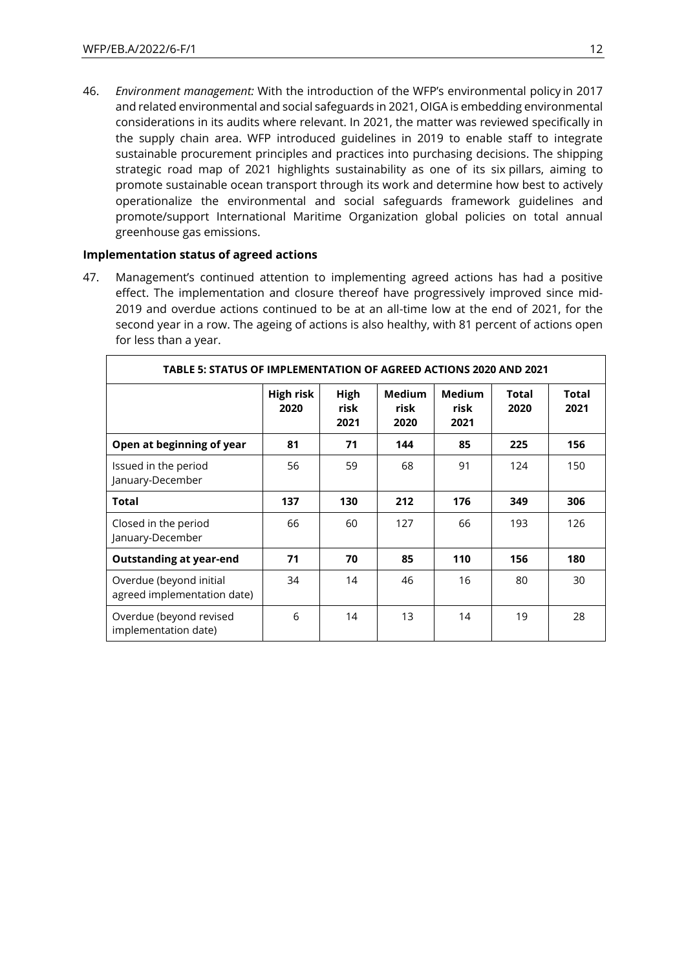46. *Environment management:* With the introduction of the WFP's environmental policy in 2017 and related environmental and social safeguards in 2021, OIGA is embedding environmental considerations in its audits where relevant. In 2021, the matter was reviewed specifically in the supply chain area. WFP introduced guidelines in 2019 to enable staff to integrate sustainable procurement principles and practices into purchasing decisions. The shipping strategic road map of 2021 highlights sustainability as one of its six pillars, aiming to promote sustainable ocean transport through its work and determine how best to actively operationalize the environmental and social safeguards framework guidelines and promote/support International Maritime Organization global policies on total annual greenhouse gas emissions.

#### **Implementation status of agreed actions**

47. Management's continued attention to implementing agreed actions has had a positive effect. The implementation and closure thereof have progressively improved since mid-2019 and overdue actions continued to be at an all-time low at the end of 2021, for the second year in a row. The ageing of actions is also healthy, with 81 percent of actions open for less than a year.

| TABLE 5: STATUS OF IMPLEMENTATION OF AGREED ACTIONS 2020 AND 2021 |                   |                      |                               |                               |               |               |  |
|-------------------------------------------------------------------|-------------------|----------------------|-------------------------------|-------------------------------|---------------|---------------|--|
|                                                                   | High risk<br>2020 | High<br>risk<br>2021 | <b>Medium</b><br>risk<br>2020 | <b>Medium</b><br>risk<br>2021 | Total<br>2020 | Total<br>2021 |  |
| Open at beginning of year                                         | 81                | 71                   | 144                           | 85                            | 225           | 156           |  |
| Issued in the period<br>January-December                          | 56                | 59                   | 68                            | 91                            | 124           | 150           |  |
| Total                                                             | 137               | 130                  | 212                           | 176                           | 349           | 306           |  |
| Closed in the period<br>January-December                          | 66                | 60                   | 127                           | 66                            | 193           | 126           |  |
| <b>Outstanding at year-end</b>                                    | 71                | 70                   | 85                            | 110                           | 156           | 180           |  |
| Overdue (beyond initial<br>agreed implementation date)            | 34                | 14                   | 46                            | 16                            | 80            | 30            |  |
| Overdue (beyond revised<br>implementation date)                   | 6                 | 14                   | 13                            | 14                            | 19            | 28            |  |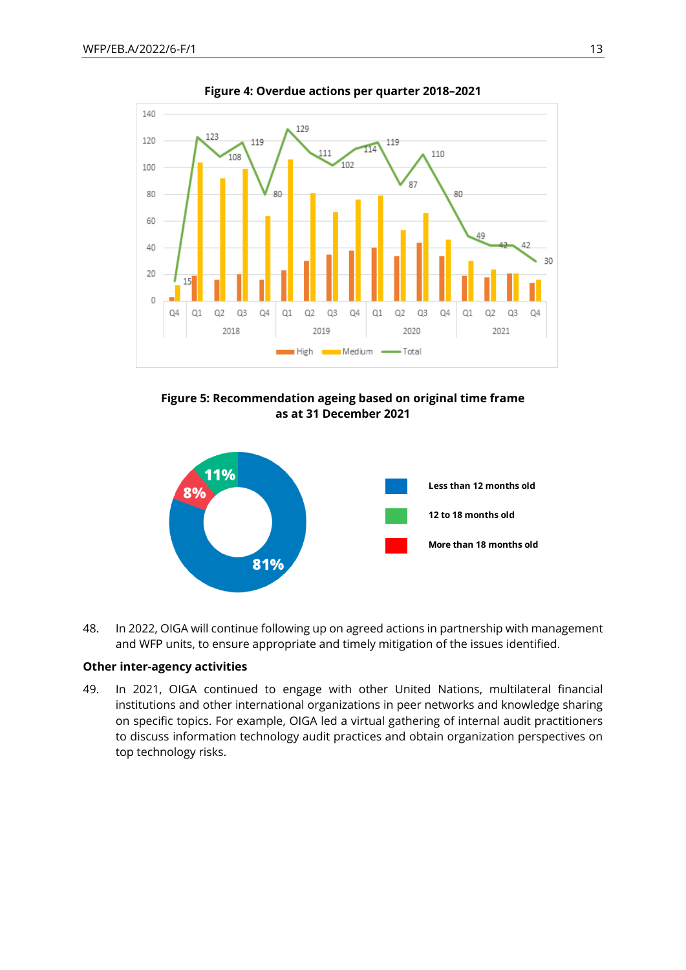

**Figure 4: Overdue actions per quarter 2018–2021**





48. In 2022, OIGA will continue following up on agreed actions in partnership with management and WFP units, to ensure appropriate and timely mitigation of the issues identified.

#### **Other inter-agency activities**

49. In 2021, OIGA continued to engage with other United Nations, multilateral financial institutions and other international organizations in peer networks and knowledge sharing on specific topics. For example, OIGA led a virtual gathering of internal audit practitioners to discuss information technology audit practices and obtain organization perspectives on top technology risks.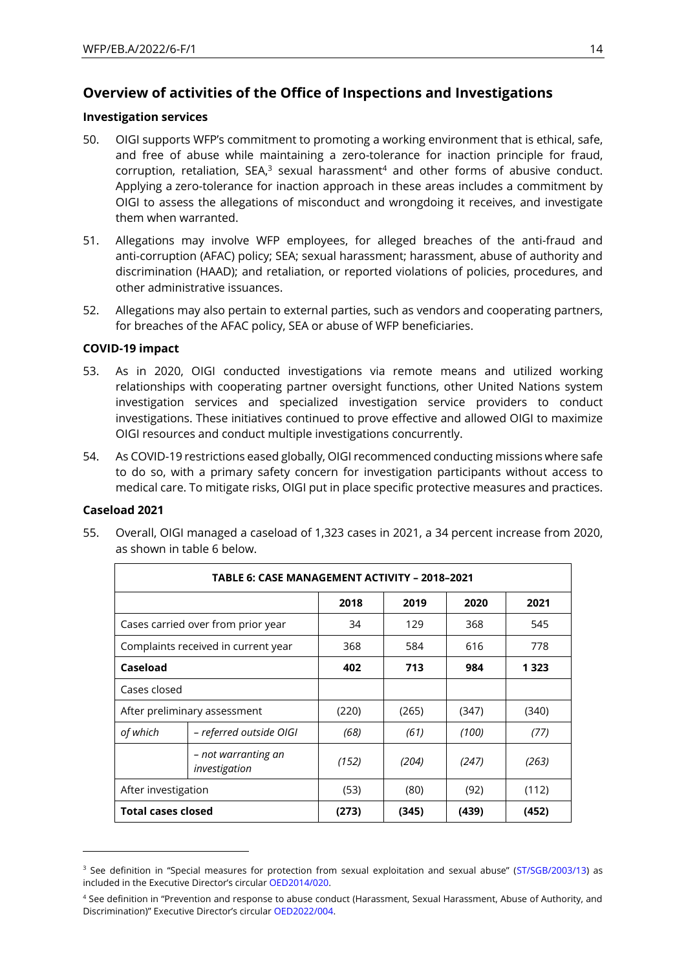## **Overview of activities of the Office of Inspections and Investigations**

#### **Investigation services**

- 50. OIGI supports WFP's commitment to promoting a working environment that is ethical, safe, and free of abuse while maintaining a zero-tolerance for inaction principle for fraud,  $corruption,$  retaliation, SEA, $3$  sexual harassment $4$  and other forms of abusive conduct. Applying a zero-tolerance for inaction approach in these areas includes a commitment by OIGI to assess the allegations of misconduct and wrongdoing it receives, and investigate them when warranted.
- 51. Allegations may involve WFP employees, for alleged breaches of the anti-fraud and anti-corruption (AFAC) policy; SEA; sexual harassment; harassment, abuse of authority and discrimination (HAAD); and retaliation, or reported violations of policies, procedures, and other administrative issuances.
- 52. Allegations may also pertain to external parties, such as vendors and cooperating partners, for breaches of the AFAC policy, SEA or abuse of WFP beneficiaries.

#### **COVID-19 impact**

- 53. As in 2020, OIGI conducted investigations via remote means and utilized working relationships with cooperating partner oversight functions, other United Nations system investigation services and specialized investigation service providers to conduct investigations. These initiatives continued to prove effective and allowed OIGI to maximize OIGI resources and conduct multiple investigations concurrently.
- 54. As COVID-19 restrictions eased globally, OIGI recommenced conducting missions where safe to do so, with a primary safety concern for investigation participants without access to medical care. To mitigate risks, OIGI put in place specific protective measures and practices.

#### **Caseload 2021**

55. Overall, OIGI managed a caseload of 1,323 cases in 2021, a 34 percent increase from 2020, as shown in table 6 below.

|                           | TABLE 6: CASE MANAGEMENT ACTIVITY - 2018-2021 |       |       |       |         |  |  |  |
|---------------------------|-----------------------------------------------|-------|-------|-------|---------|--|--|--|
|                           |                                               | 2018  | 2019  | 2020  | 2021    |  |  |  |
|                           | Cases carried over from prior year            | 34    | 129   | 368   | 545     |  |  |  |
|                           | Complaints received in current year           | 368   | 584   | 616   | 778     |  |  |  |
| Caseload                  |                                               | 402   | 713   | 984   | 1 3 2 3 |  |  |  |
| Cases closed              |                                               |       |       |       |         |  |  |  |
|                           | After preliminary assessment                  | (220) | (265) | (347) | (340)   |  |  |  |
| of which                  | - referred outside OIGI                       | (68)  | (61)  | (100) | (77)    |  |  |  |
|                           | - not warranting an<br>investigation          | (152) | (204) | (247) | (263)   |  |  |  |
| After investigation       |                                               | (53)  | (80)  | (92)  | (112)   |  |  |  |
| <b>Total cases closed</b> |                                               | (273) | (345) | (439) | (452)   |  |  |  |

<sup>&</sup>lt;sup>3</sup> See definition in "Special measures for protection from sexual exploitation and sexual abuse" ([ST/SGB/2003/13\)](https://documents-dds-ny.un.org/doc/UNDOC/GEN/N03/550/40/PDF/N0355040.pdf?OpenElement) as included in the Executive Director's circular [OED2014/020.](https://docs.wfp.org/api/documents/WFP-0000011656/download/)

<sup>4</sup> See definition in "Prevention and response to abuse conduct (Harassment, Sexual Harassment, Abuse of Authority, and Discrimination)" Executive Director's circular [OED2022/004.](https://docs.wfp.org/api/documents/WFP-0000136571/download/)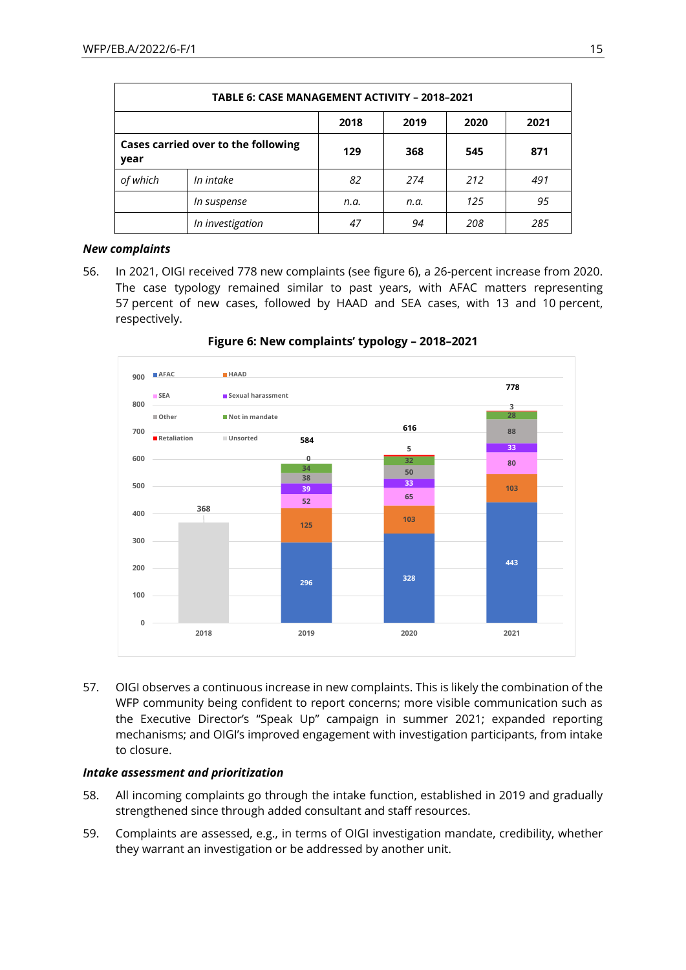|                                             | TABLE 6: CASE MANAGEMENT ACTIVITY - 2018-2021 |      |      |     |     |  |  |
|---------------------------------------------|-----------------------------------------------|------|------|-----|-----|--|--|
| 2018<br>2019<br>2020<br>2021                |                                               |      |      |     |     |  |  |
| Cases carried over to the following<br>year |                                               | 129  | 368  | 545 | 871 |  |  |
| of which                                    | In intake                                     | 82   | 274  | 212 | 491 |  |  |
|                                             | In suspense                                   | n.a. | n.a. | 125 | 95  |  |  |
|                                             | In investigation                              | 47   | 94   | 208 | 285 |  |  |

#### *New complaints*

56. In 2021, OIGI received 778 new complaints (see figure 6), a 26-percent increase from 2020. The case typology remained similar to past years, with AFAC matters representing 57 percent of new cases, followed by HAAD and SEA cases, with 13 and 10 percent, respectively.



**Figure 6: New complaints' typology – 2018–2021**

57. OIGI observes a continuous increase in new complaints. This is likely the combination of the WFP community being confident to report concerns; more visible communication such as the Executive Director's "Speak Up" campaign in summer 2021; expanded reporting mechanisms; and OIGI's improved engagement with investigation participants, from intake to closure.

#### *Intake assessment and prioritization*

- 58. All incoming complaints go through the intake function, established in 2019 and gradually strengthened since through added consultant and staff resources.
- 59. Complaints are assessed, e.g., in terms of OIGI investigation mandate, credibility, whether they warrant an investigation or be addressed by another unit.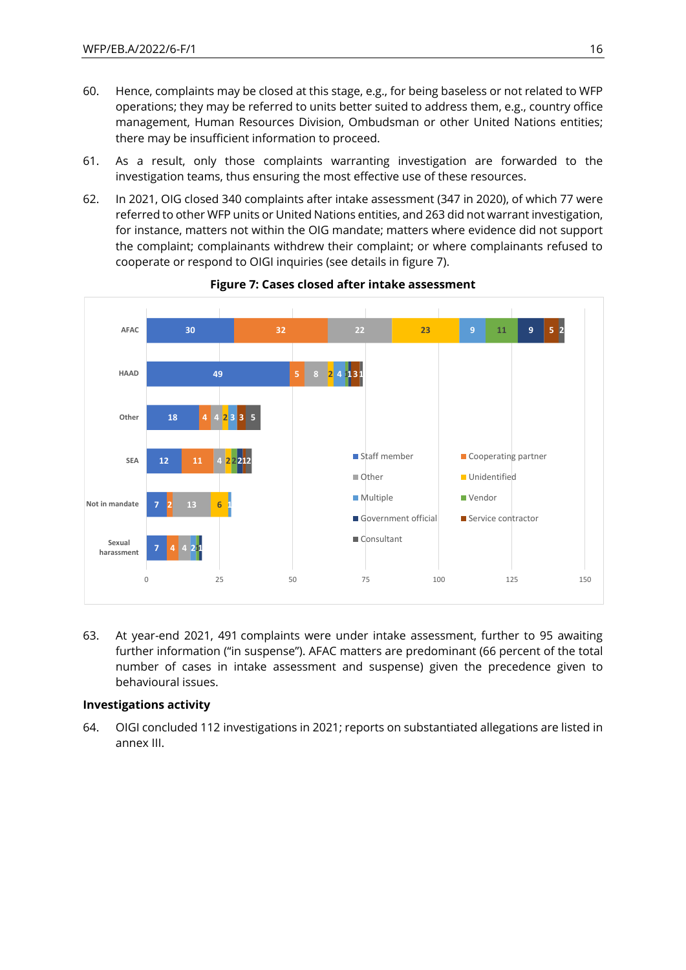- 60. Hence, complaints may be closed at this stage, e.g., for being baseless or not related to WFP operations; they may be referred to units better suited to address them, e.g., country office management, Human Resources Division, Ombudsman or other United Nations entities; there may be insufficient information to proceed.
- 61. As a result, only those complaints warranting investigation are forwarded to the investigation teams, thus ensuring the most effective use of these resources.
- 62. In 2021, OIG closed 340 complaints after intake assessment (347 in 2020), of which 77 were referred to other WFP units or United Nations entities, and 263 did not warrant investigation, for instance, matters not within the OIG mandate; matters where evidence did not support the complaint; complainants withdrew their complaint; or where complainants refused to cooperate or respond to OIGI inquiries (see details in figure 7).



#### **Figure 7: Cases closed after intake assessment**

63. At year-end 2021, 491 complaints were under intake assessment, further to 95 awaiting further information ("in suspense"). AFAC matters are predominant (66 percent of the total number of cases in intake assessment and suspense) given the precedence given to behavioural issues.

#### **Investigations activity**

64. OIGI concluded 112 investigations in 2021; reports on substantiated allegations are listed in annex III.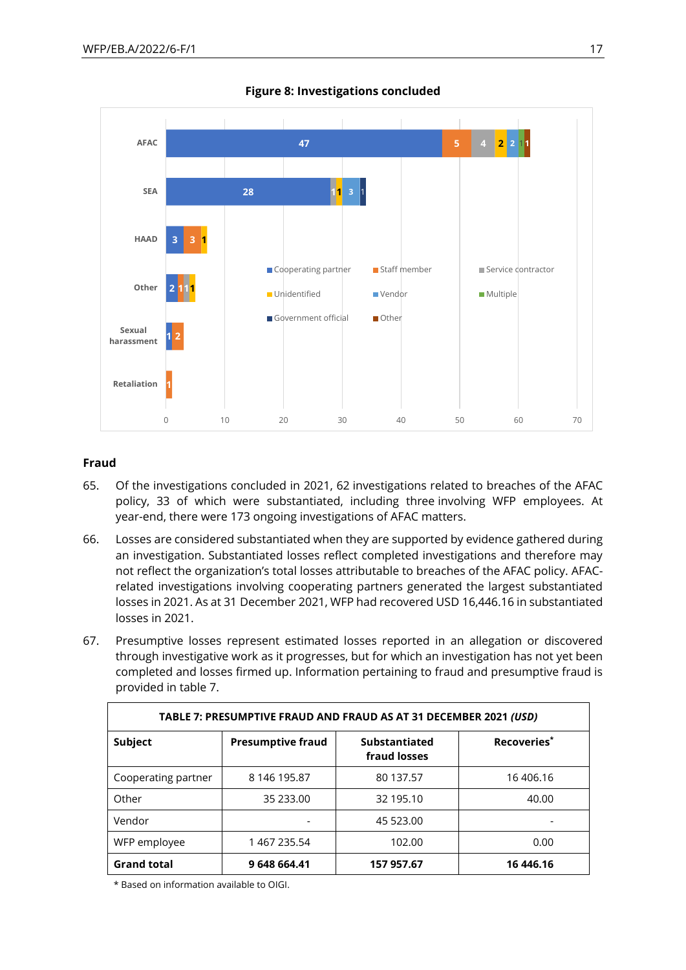

**Figure 8: Investigations concluded**

### **Fraud**

- 65. Of the investigations concluded in 2021, 62 investigations related to breaches of the AFAC policy, 33 of which were substantiated, including three involving WFP employees. At year-end, there were 173 ongoing investigations of AFAC matters.
- 66. Losses are considered substantiated when they are supported by evidence gathered during an investigation. Substantiated losses reflect completed investigations and therefore may not reflect the organization's total losses attributable to breaches of the AFAC policy. AFACrelated investigations involving cooperating partners generated the largest substantiated losses in 2021. As at 31 December 2021, WFP had recovered USD 16,446.16 in substantiated losses in 2021.
- 67. Presumptive losses represent estimated losses reported in an allegation or discovered through investigative work as it progresses, but for which an investigation has not yet been completed and losses firmed up. Information pertaining to fraud and presumptive fraud is provided in table 7.

| TABLE 7: PRESUMPTIVE FRAUD AND FRAUD AS AT 31 DECEMBER 2021 (USD) |                          |                               |                         |  |  |  |  |  |
|-------------------------------------------------------------------|--------------------------|-------------------------------|-------------------------|--|--|--|--|--|
| Subject                                                           | <b>Presumptive fraud</b> | Substantiated<br>fraud losses | Recoveries <sup>*</sup> |  |  |  |  |  |
| Cooperating partner                                               | 8 146 195.87             | 80 137.57                     | 16 406.16               |  |  |  |  |  |
| Other                                                             | 35 233.00                | 32 195.10                     | 40.00                   |  |  |  |  |  |
| Vendor                                                            |                          | 45 523.00                     |                         |  |  |  |  |  |
| WFP employee                                                      | 1 467 235.54             | 102.00                        | 0.00                    |  |  |  |  |  |
| <b>Grand total</b>                                                | 9 648 664.41             | 157 957.67                    | 16 446.16               |  |  |  |  |  |

\* Based on information available to OIGI.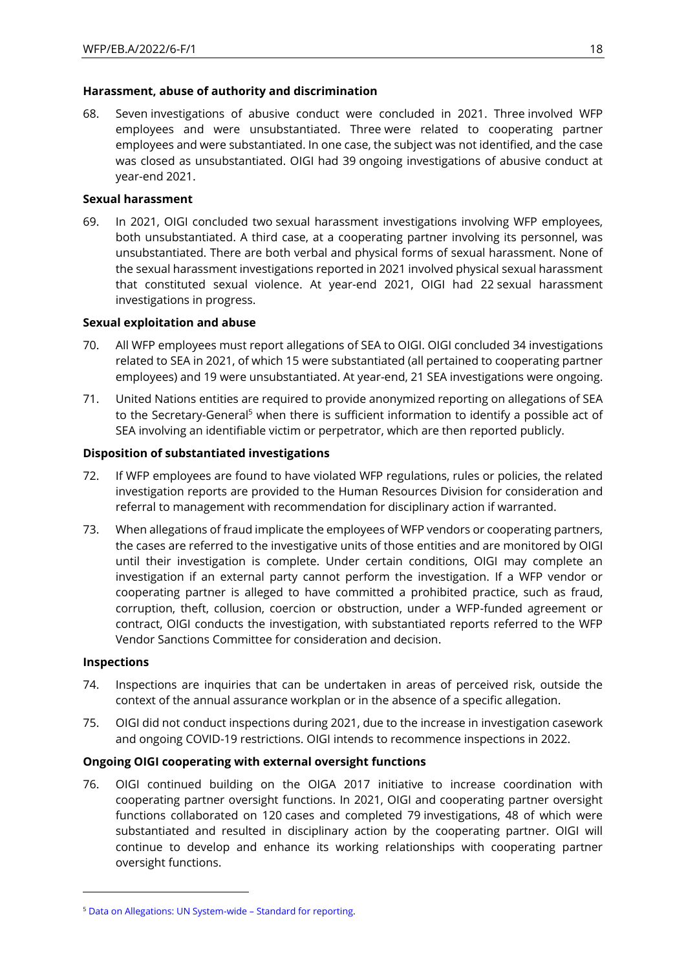#### **Harassment, abuse of authority and discrimination**

68. Seven investigations of abusive conduct were concluded in 2021. Three involved WFP employees and were unsubstantiated. Three were related to cooperating partner employees and were substantiated. In one case, the subject was not identified, and the case was closed as unsubstantiated. OIGI had 39 ongoing investigations of abusive conduct at year-end 2021.

#### **Sexual harassment**

69. In 2021, OIGI concluded two sexual harassment investigations involving WFP employees, both unsubstantiated. A third case, at a cooperating partner involving its personnel, was unsubstantiated. There are both verbal and physical forms of sexual harassment. None of the sexual harassment investigations reported in 2021 involved physical sexual harassment that constituted sexual violence. At year-end 2021, OIGI had 22 sexual harassment investigations in progress.

#### **Sexual exploitation and abuse**

- 70. All WFP employees must report allegations of SEA to OIGI. OIGI concluded 34 investigations related to SEA in 2021, of which 15 were substantiated (all pertained to cooperating partner employees) and 19 were unsubstantiated. At year-end, 21 SEA investigations were ongoing.
- 71. United Nations entities are required to provide anonymized reporting on allegations of SEA to the Secretary-General<sup>5</sup> when there is sufficient information to identify a possible act of SEA involving an identifiable victim or perpetrator, which are then reported publicly.

### **Disposition of substantiated investigations**

- 72. If WFP employees are found to have violated WFP regulations, rules or policies, the related investigation reports are provided to the Human Resources Division for consideration and referral to management with recommendation for disciplinary action if warranted.
- 73. When allegations of fraud implicate the employees of WFP vendors or cooperating partners, the cases are referred to the investigative units of those entities and are monitored by OIGI until their investigation is complete. Under certain conditions, OIGI may complete an investigation if an external party cannot perform the investigation. If a WFP vendor or cooperating partner is alleged to have committed a prohibited practice, such as fraud, corruption, theft, collusion, coercion or obstruction, under a WFP-funded agreement or contract, OIGI conducts the investigation, with substantiated reports referred to the WFP Vendor Sanctions Committee for consideration and decision.

#### **Inspections**

- 74. Inspections are inquiries that can be undertaken in areas of perceived risk, outside the context of the annual assurance workplan or in the absence of a specific allegation.
- 75. OIGI did not conduct inspections during 2021, due to the increase in investigation casework and ongoing COVID-19 restrictions. OIGI intends to recommence inspections in 2022.

### **Ongoing OIGI cooperating with external oversight functions**

76. OIGI continued building on the OIGA 2017 initiative to increase coordination with cooperating partner oversight functions. In 2021, OIGI and cooperating partner oversight functions collaborated on 120 cases and completed 79 investigations, 48 of which were substantiated and resulted in disciplinary action by the cooperating partner. OIGI will continue to develop and enhance its working relationships with cooperating partner oversight functions.

<sup>5</sup> [Data on Allegations: UN System-wide](https://www.un.org/preventing-sexual-exploitation-and-abuse/content/data-allegations-un-system-wide) – Standard for reporting.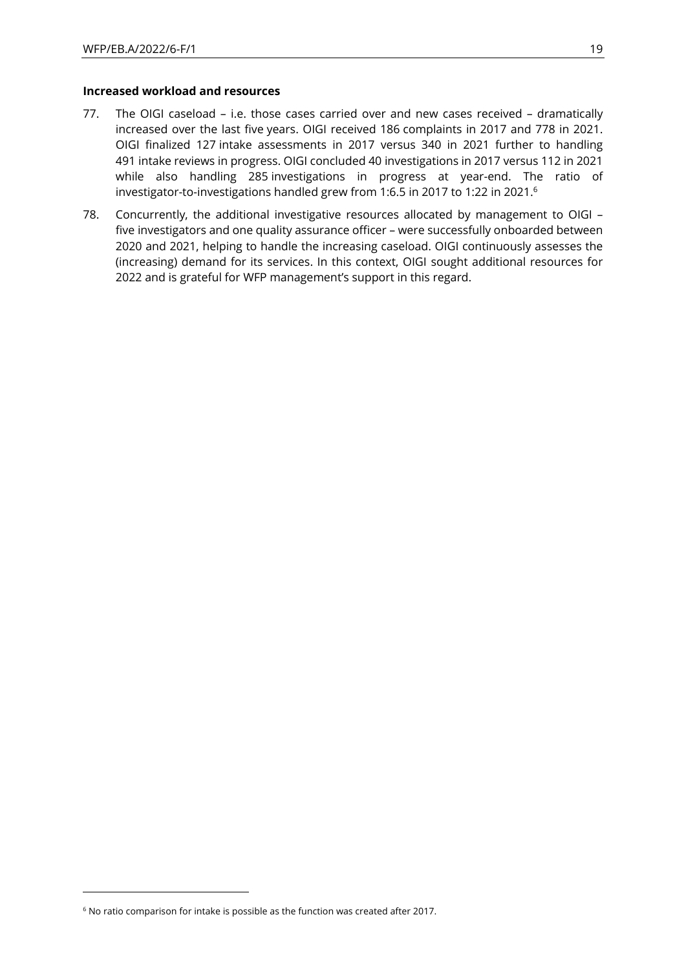#### **Increased workload and resources**

- 77. The OIGI caseload i.e. those cases carried over and new cases received dramatically increased over the last five years. OIGI received 186 complaints in 2017 and 778 in 2021. OIGI finalized 127 intake assessments in 2017 versus 340 in 2021 further to handling 491 intake reviews in progress. OIGI concluded 40 investigations in 2017 versus 112 in 2021 while also handling 285 investigations in progress at year-end. The ratio of investigator-to-investigations handled grew from 1:6.5 in 2017 to 1:22 in 2021. 6
- 78. Concurrently, the additional investigative resources allocated by management to OIGI five investigators and one quality assurance officer – were successfully onboarded between 2020 and 2021, helping to handle the increasing caseload. OIGI continuously assesses the (increasing) demand for its services. In this context, OIGI sought additional resources for 2022 and is grateful for WFP management's support in this regard.

<sup>&</sup>lt;sup>6</sup> No ratio comparison for intake is possible as the function was created after 2017.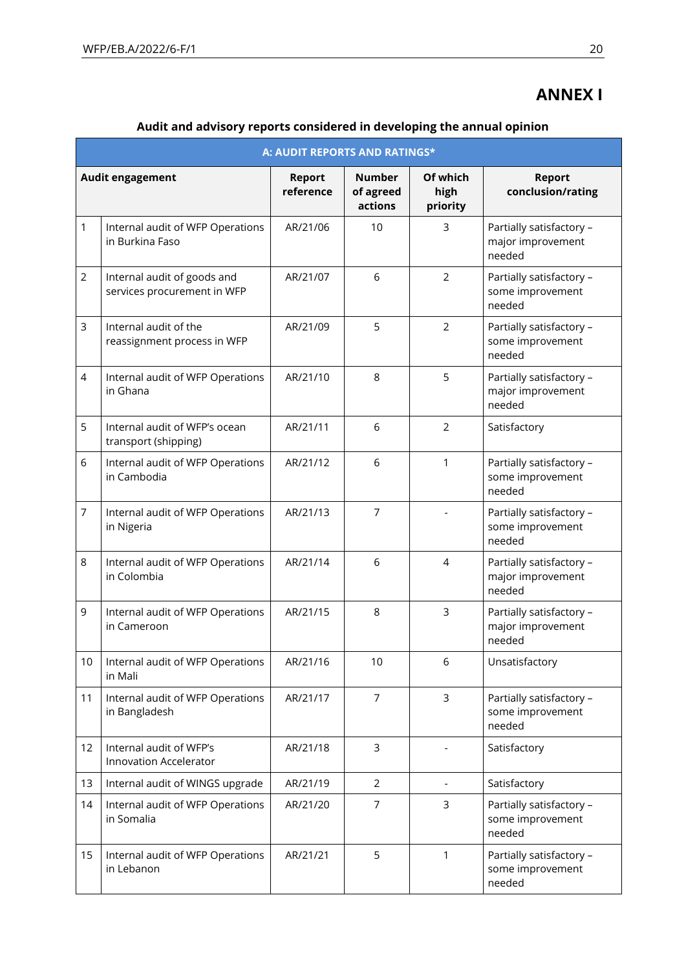# **ANNEX I**

| Audit and advisory reports considered in developing the annual opinion |  |  |  |
|------------------------------------------------------------------------|--|--|--|
|                                                                        |  |  |  |

|                | A: AUDIT REPORTS AND RATINGS*                              |                            |                                       |                              |                                                         |  |  |  |
|----------------|------------------------------------------------------------|----------------------------|---------------------------------------|------------------------------|---------------------------------------------------------|--|--|--|
|                | <b>Audit engagement</b>                                    | <b>Report</b><br>reference | <b>Number</b><br>of agreed<br>actions | Of which<br>high<br>priority | <b>Report</b><br>conclusion/rating                      |  |  |  |
| 1              | Internal audit of WFP Operations<br>in Burkina Faso        | AR/21/06                   | 10                                    | 3                            | Partially satisfactory -<br>major improvement<br>needed |  |  |  |
| $\overline{2}$ | Internal audit of goods and<br>services procurement in WFP | AR/21/07                   | 6                                     | 2                            | Partially satisfactory -<br>some improvement<br>needed  |  |  |  |
| 3              | Internal audit of the<br>reassignment process in WFP       | AR/21/09                   | 5                                     | 2                            | Partially satisfactory -<br>some improvement<br>needed  |  |  |  |
| 4              | Internal audit of WFP Operations<br>in Ghana               | AR/21/10                   | 8                                     | 5                            | Partially satisfactory -<br>major improvement<br>needed |  |  |  |
| 5              | Internal audit of WFP's ocean<br>transport (shipping)      | AR/21/11                   | 6                                     | 2                            | Satisfactory                                            |  |  |  |
| 6              | Internal audit of WFP Operations<br>in Cambodia            | AR/21/12                   | 6                                     | 1                            | Partially satisfactory -<br>some improvement<br>needed  |  |  |  |
| 7              | Internal audit of WFP Operations<br>in Nigeria             | AR/21/13                   | $\overline{7}$                        |                              | Partially satisfactory -<br>some improvement<br>needed  |  |  |  |
| 8              | Internal audit of WFP Operations<br>in Colombia            | AR/21/14                   | 6                                     | 4                            | Partially satisfactory -<br>major improvement<br>needed |  |  |  |
| 9              | Internal audit of WFP Operations<br>in Cameroon            | AR/21/15                   | 8                                     | 3                            | Partially satisfactory -<br>major improvement<br>needed |  |  |  |
| 10             | Internal audit of WFP Operations<br>in Mali                | AR/21/16                   | 10                                    | 6                            | Unsatisfactory                                          |  |  |  |
| 11             | Internal audit of WFP Operations<br>in Bangladesh          | AR/21/17                   | $\overline{7}$                        | 3                            | Partially satisfactory -<br>some improvement<br>needed  |  |  |  |
| 12             | Internal audit of WFP's<br>Innovation Accelerator          | AR/21/18                   | 3                                     |                              | Satisfactory                                            |  |  |  |
| 13             | Internal audit of WINGS upgrade                            | AR/21/19                   | $\overline{2}$                        | $\overline{\phantom{a}}$     | Satisfactory                                            |  |  |  |
| 14             | Internal audit of WFP Operations<br>in Somalia             | AR/21/20                   | 7                                     | 3                            | Partially satisfactory -<br>some improvement<br>needed  |  |  |  |
| 15             | Internal audit of WFP Operations<br>in Lebanon             | AR/21/21                   | 5                                     | 1                            | Partially satisfactory -<br>some improvement<br>needed  |  |  |  |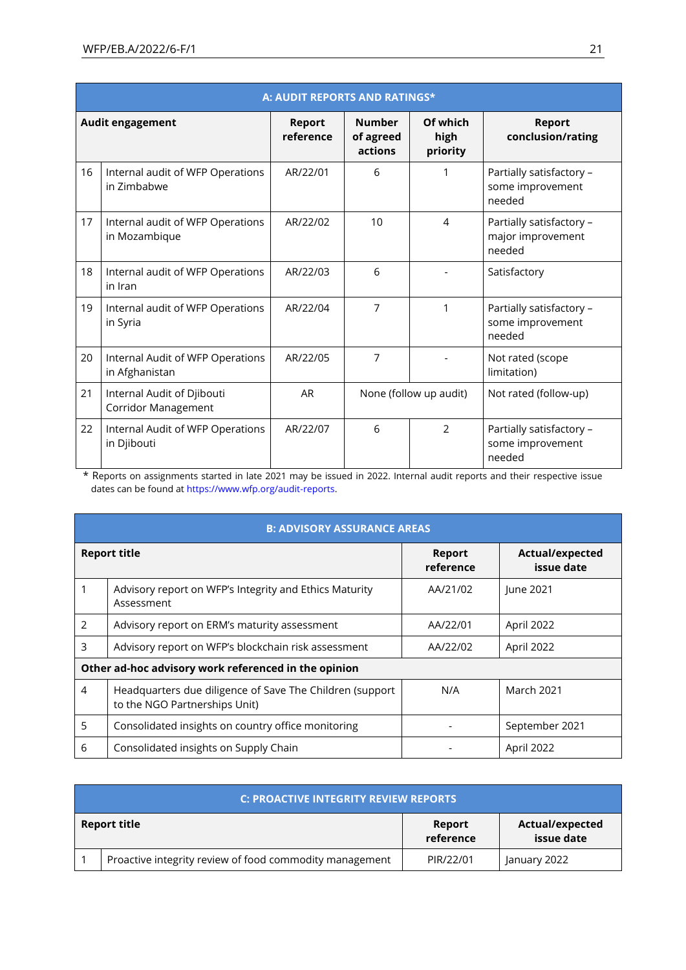|    | A: AUDIT REPORTS AND RATINGS*                      |                            |                                       |                              |                                                         |  |  |  |
|----|----------------------------------------------------|----------------------------|---------------------------------------|------------------------------|---------------------------------------------------------|--|--|--|
|    | Audit engagement                                   | <b>Report</b><br>reference | <b>Number</b><br>of agreed<br>actions | Of which<br>high<br>priority | <b>Report</b><br>conclusion/rating                      |  |  |  |
| 16 | Internal audit of WFP Operations<br>in Zimbabwe    | AR/22/01                   | 6                                     | 1                            | Partially satisfactory -<br>some improvement<br>needed  |  |  |  |
| 17 | Internal audit of WFP Operations<br>in Mozambique  | AR/22/02                   | 10                                    | 4                            | Partially satisfactory -<br>major improvement<br>needed |  |  |  |
| 18 | Internal audit of WFP Operations<br>in Iran        | AR/22/03                   | 6                                     |                              | Satisfactory                                            |  |  |  |
| 19 | Internal audit of WFP Operations<br>in Syria       | AR/22/04                   | 7                                     | 1                            | Partially satisfactory -<br>some improvement<br>needed  |  |  |  |
| 20 | Internal Audit of WFP Operations<br>in Afghanistan | AR/22/05                   | 7                                     |                              | Not rated (scope<br>limitation)                         |  |  |  |
| 21 | Internal Audit of Djibouti<br>Corridor Management  | <b>AR</b>                  |                                       | None (follow up audit)       | Not rated (follow-up)                                   |  |  |  |
| 22 | Internal Audit of WFP Operations<br>in Djibouti    | AR/22/07                   | 6                                     | $\mathfrak{D}$               | Partially satisfactory -<br>some improvement<br>needed  |  |  |  |

\* Reports on assignments started in late 2021 may be issued in 2022. Internal audit reports and their respective issue dates can be found at [https://www.wfp.org/audit-reports.](https://www.wfp.org/audit-reports)

|                | <b>B: ADVISORY ASSURANCE AREAS</b>                                                        |                            |                               |  |  |  |  |  |  |
|----------------|-------------------------------------------------------------------------------------------|----------------------------|-------------------------------|--|--|--|--|--|--|
|                | <b>Report title</b>                                                                       | <b>Report</b><br>reference | Actual/expected<br>issue date |  |  |  |  |  |  |
|                | Advisory report on WFP's Integrity and Ethics Maturity<br>Assessment                      | AA/21/02                   | June 2021                     |  |  |  |  |  |  |
| 2              | Advisory report on ERM's maturity assessment                                              | AA/22/01                   | April 2022                    |  |  |  |  |  |  |
| 3              | Advisory report on WFP's blockchain risk assessment                                       | AA/22/02                   | April 2022                    |  |  |  |  |  |  |
|                | Other ad-hoc advisory work referenced in the opinion                                      |                            |                               |  |  |  |  |  |  |
| $\overline{4}$ | Headquarters due diligence of Save The Children (support<br>to the NGO Partnerships Unit) | N/A                        | <b>March 2021</b>             |  |  |  |  |  |  |
| 5              | Consolidated insights on country office monitoring                                        |                            | September 2021                |  |  |  |  |  |  |
| 6              | Consolidated insights on Supply Chain                                                     |                            | April 2022                    |  |  |  |  |  |  |

| C: PROACTIVE INTEGRITY REVIEW REPORTS                   |                     |                               |
|---------------------------------------------------------|---------------------|-------------------------------|
| <b>Report title</b>                                     | Report<br>reference | Actual/expected<br>issue date |
| Proactive integrity review of food commodity management | PIR/22/01           | January 2022                  |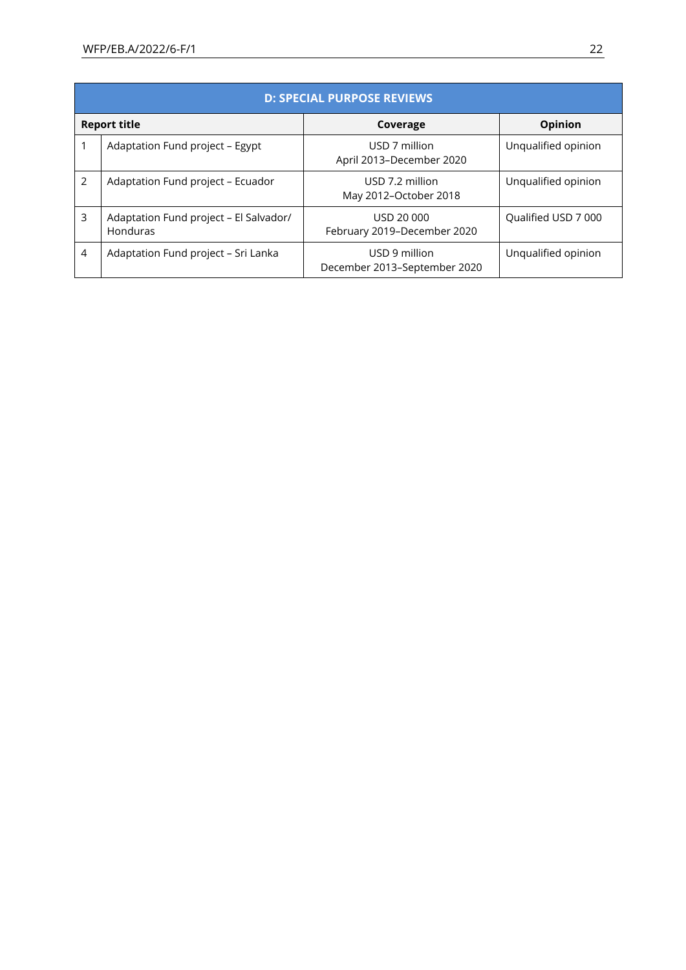|                     | <b>D: SPECIAL PURPOSE REVIEWS</b>                  |                                               |                     |
|---------------------|----------------------------------------------------|-----------------------------------------------|---------------------|
| <b>Report title</b> |                                                    | Coverage                                      | Opinion             |
|                     | Adaptation Fund project - Egypt                    | USD 7 million<br>April 2013-December 2020     | Unqualified opinion |
| $\mathcal{P}$       | Adaptation Fund project - Ecuador                  | USD 7.2 million<br>May 2012-October 2018      | Unqualified opinion |
| 3                   | Adaptation Fund project - El Salvador/<br>Honduras | USD 20 000<br>February 2019-December 2020     | Qualified USD 7 000 |
| $\overline{4}$      | Adaptation Fund project - Sri Lanka                | USD 9 million<br>December 2013-September 2020 | Unqualified opinion |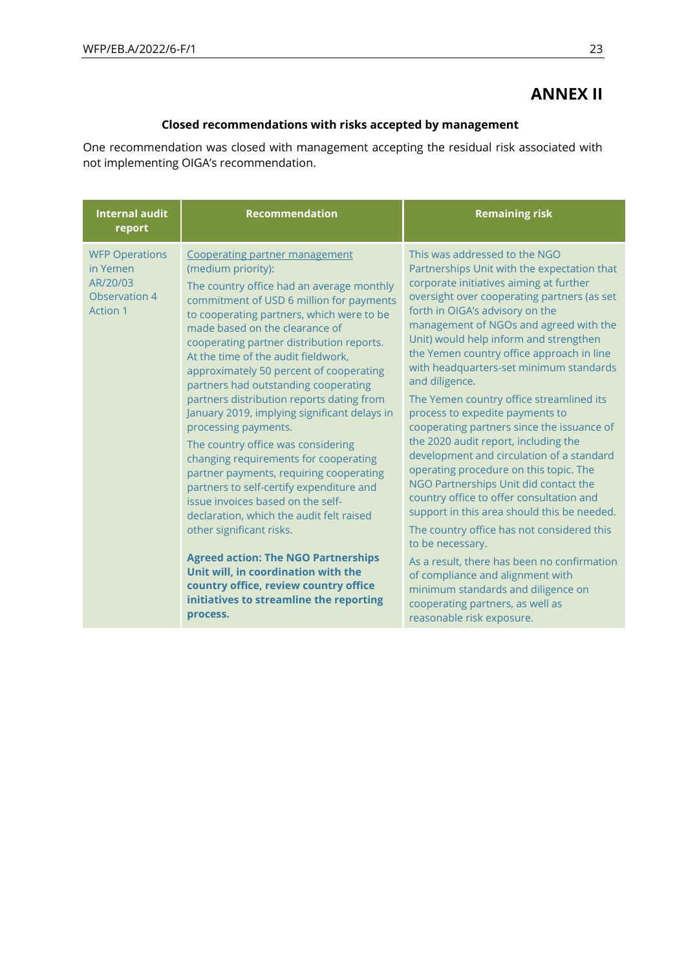# **ANNEX II**

### **Closed recommendations with risks accepted by management**

One recommendation was closed with management accepting the residual risk associated with not implementing OIGA's recommendation.

| <b>Internal audit</b><br>report                                                   | <b>Recommendation</b>                                                                                                                                                                                                                                                                                                                                                                                                                                                                                                                                                                                                                                                                                                                                                                                                                                                                                                                                                                            | <b>Remaining risk</b>                                                                                                                                                                                                                                                                                                                                                                                                                                                                                                                                                                                                                                                                                                                                                                                                                                                                                                                                                                                                                                               |
|-----------------------------------------------------------------------------------|--------------------------------------------------------------------------------------------------------------------------------------------------------------------------------------------------------------------------------------------------------------------------------------------------------------------------------------------------------------------------------------------------------------------------------------------------------------------------------------------------------------------------------------------------------------------------------------------------------------------------------------------------------------------------------------------------------------------------------------------------------------------------------------------------------------------------------------------------------------------------------------------------------------------------------------------------------------------------------------------------|---------------------------------------------------------------------------------------------------------------------------------------------------------------------------------------------------------------------------------------------------------------------------------------------------------------------------------------------------------------------------------------------------------------------------------------------------------------------------------------------------------------------------------------------------------------------------------------------------------------------------------------------------------------------------------------------------------------------------------------------------------------------------------------------------------------------------------------------------------------------------------------------------------------------------------------------------------------------------------------------------------------------------------------------------------------------|
| <b>WFP Operations</b><br>in Yemen<br>AR/20/03<br>Observation 4<br><b>Action 1</b> | Cooperating partner management<br>(medium priority):<br>The country office had an average monthly<br>commitment of USD 6 million for payments<br>to cooperating partners, which were to be<br>made based on the clearance of<br>cooperating partner distribution reports.<br>At the time of the audit fieldwork,<br>approximately 50 percent of cooperating<br>partners had outstanding cooperating<br>partners distribution reports dating from<br>January 2019, implying significant delays in<br>processing payments.<br>The country office was considering<br>changing requirements for cooperating<br>partner payments, requiring cooperating<br>partners to self-certify expenditure and<br>issue invoices based on the self-<br>declaration, which the audit felt raised<br>other significant risks.<br><b>Agreed action: The NGO Partnerships</b><br>Unit will, in coordination with the<br>country office, review country office<br>initiatives to streamline the reporting<br>process. | This was addressed to the NGO<br>Partnerships Unit with the expectation that<br>corporate initiatives aiming at further<br>oversight over cooperating partners (as set<br>forth in OIGA's advisory on the<br>management of NGOs and agreed with the<br>Unit) would help inform and strengthen<br>the Yemen country office approach in line<br>with headquarters-set minimum standards<br>and diligence.<br>The Yemen country office streamlined its<br>process to expedite payments to<br>cooperating partners since the issuance of<br>the 2020 audit report, including the<br>development and circulation of a standard<br>operating procedure on this topic. The<br>NGO Partnerships Unit did contact the<br>country office to offer consultation and<br>support in this area should this be needed.<br>The country office has not considered this<br>to be necessary.<br>As a result, there has been no confirmation<br>of compliance and alignment with<br>minimum standards and diligence on<br>cooperating partners, as well as<br>reasonable risk exposure. |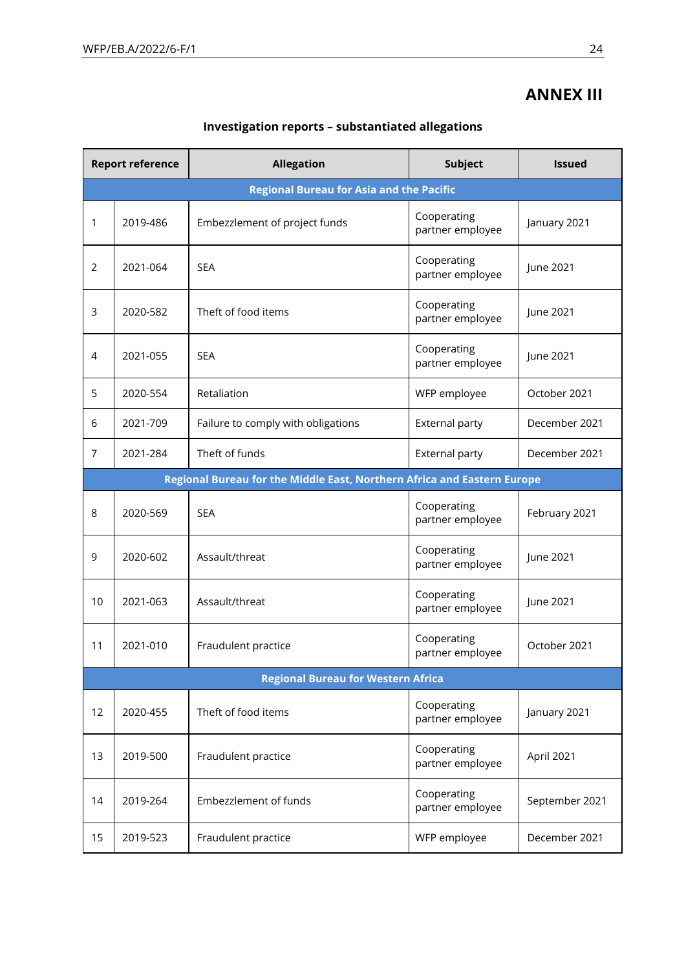# **ANNEX III**

| <b>Report reference</b>                         |          | <b>Allegation</b>                                                       | <b>Subject</b>                  | <b>Issued</b>  |
|-------------------------------------------------|----------|-------------------------------------------------------------------------|---------------------------------|----------------|
| <b>Regional Bureau for Asia and the Pacific</b> |          |                                                                         |                                 |                |
| 1                                               | 2019-486 | Embezzlement of project funds                                           | Cooperating<br>partner employee | January 2021   |
| 2                                               | 2021-064 | <b>SEA</b>                                                              | Cooperating<br>partner employee | June 2021      |
| 3                                               | 2020-582 | Theft of food items                                                     | Cooperating<br>partner employee | June 2021      |
| 4                                               | 2021-055 | <b>SEA</b>                                                              | Cooperating<br>partner employee | June 2021      |
| 5                                               | 2020-554 | Retaliation                                                             | WFP employee                    | October 2021   |
| 6                                               | 2021-709 | Failure to comply with obligations                                      | External party                  | December 2021  |
| $\overline{7}$                                  | 2021-284 | Theft of funds                                                          | External party                  | December 2021  |
|                                                 |          | Regional Bureau for the Middle East, Northern Africa and Eastern Europe |                                 |                |
| 8                                               | 2020-569 | <b>SEA</b>                                                              | Cooperating<br>partner employee | February 2021  |
| 9                                               | 2020-602 | Assault/threat                                                          | Cooperating<br>partner employee | June 2021      |
| 10                                              | 2021-063 | Assault/threat                                                          | Cooperating<br>partner employee | June 2021      |
| 11                                              | 2021-010 | Fraudulent practice                                                     | Cooperating<br>partner employee | October 2021   |
|                                                 |          | <b>Regional Bureau for Western Africa</b>                               |                                 |                |
| 12                                              | 2020-455 | Theft of food items                                                     | Cooperating<br>partner employee | January 2021   |
| 13                                              | 2019-500 | Fraudulent practice                                                     | Cooperating<br>partner employee | April 2021     |
| 14                                              | 2019-264 | Embezzlement of funds                                                   | Cooperating<br>partner employee | September 2021 |
| 15                                              | 2019-523 | Fraudulent practice                                                     | WFP employee                    | December 2021  |

## **Investigation reports – substantiated allegations**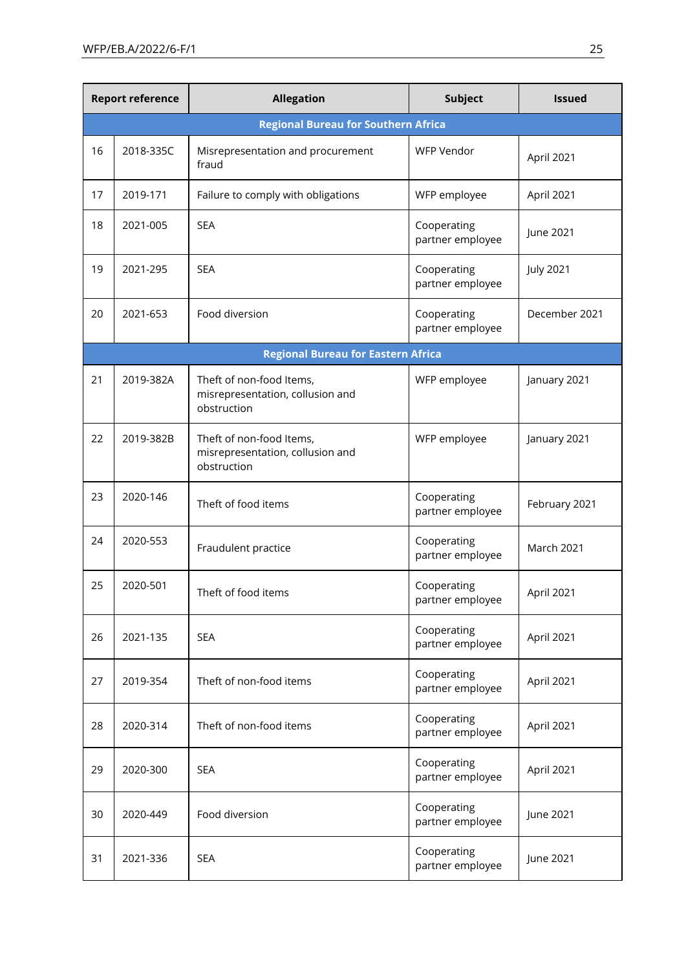| <b>Report reference</b> |                                            | <b>Allegation</b>                                                           | <b>Subject</b>                  | <b>Issued</b>     |
|-------------------------|--------------------------------------------|-----------------------------------------------------------------------------|---------------------------------|-------------------|
|                         | <b>Regional Bureau for Southern Africa</b> |                                                                             |                                 |                   |
| 16                      | 2018-335C                                  | Misrepresentation and procurement<br>fraud                                  | <b>WFP Vendor</b>               | April 2021        |
| 17                      | 2019-171                                   | Failure to comply with obligations                                          | WFP employee                    | April 2021        |
| 18                      | 2021-005                                   | <b>SEA</b>                                                                  | Cooperating<br>partner employee | June 2021         |
| 19                      | 2021-295                                   | <b>SEA</b>                                                                  | Cooperating<br>partner employee | <b>July 2021</b>  |
| 20                      | 2021-653                                   | Food diversion                                                              | Cooperating<br>partner employee | December 2021     |
|                         |                                            | <b>Regional Bureau for Eastern Africa</b>                                   |                                 |                   |
| 21                      | 2019-382A                                  | Theft of non-food Items,<br>misrepresentation, collusion and<br>obstruction | WFP employee                    | January 2021      |
| 22                      | 2019-382B                                  | Theft of non-food Items,<br>misrepresentation, collusion and<br>obstruction | WFP employee                    | January 2021      |
| 23                      | 2020-146                                   | Theft of food items                                                         | Cooperating<br>partner employee | February 2021     |
| 24                      | 2020-553                                   | Fraudulent practice                                                         | Cooperating<br>partner employee | <b>March 2021</b> |
| 25                      | 2020-501                                   | Theft of food items                                                         | Cooperating<br>partner employee | April 2021        |
| 26                      | 2021-135                                   | <b>SEA</b>                                                                  | Cooperating<br>partner employee | April 2021        |
| 27                      | 2019-354                                   | Theft of non-food items                                                     | Cooperating<br>partner employee | April 2021        |
| 28                      | 2020-314                                   | Theft of non-food items                                                     | Cooperating<br>partner employee | April 2021        |
| 29                      | 2020-300                                   | <b>SEA</b>                                                                  | Cooperating<br>partner employee | April 2021        |
| 30                      | 2020-449                                   | Food diversion                                                              | Cooperating<br>partner employee | June 2021         |
| 31                      | 2021-336                                   | <b>SEA</b>                                                                  | Cooperating<br>partner employee | June 2021         |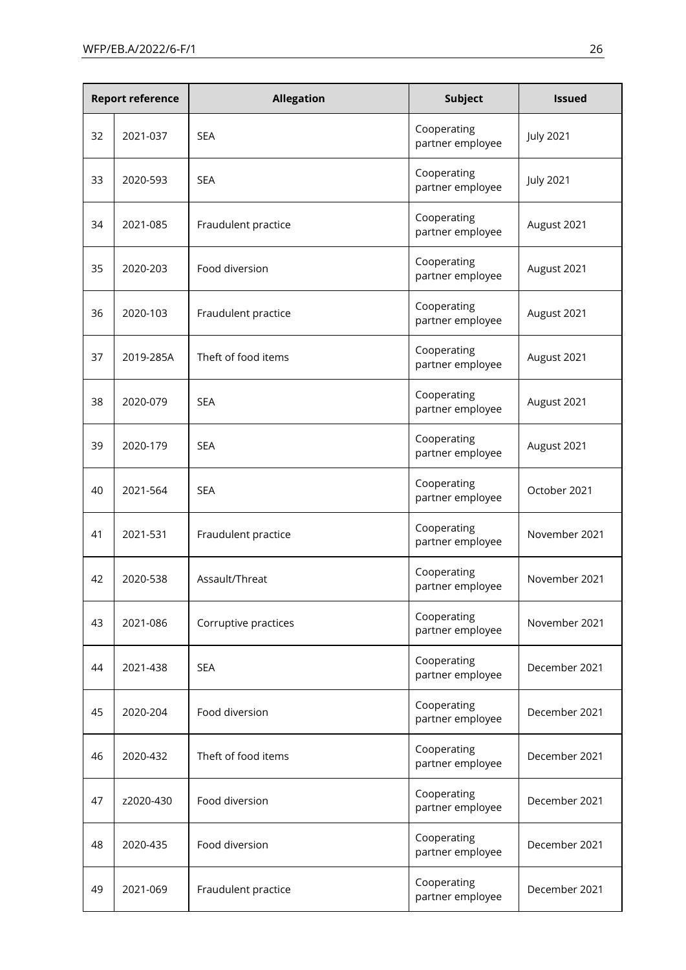| <b>Report reference</b> |           | <b>Allegation</b>    | <b>Subject</b>                  | <b>Issued</b>    |
|-------------------------|-----------|----------------------|---------------------------------|------------------|
| 32                      | 2021-037  | <b>SEA</b>           | Cooperating<br>partner employee | <b>July 2021</b> |
| 33                      | 2020-593  | <b>SEA</b>           | Cooperating<br>partner employee | <b>July 2021</b> |
| 34                      | 2021-085  | Fraudulent practice  | Cooperating<br>partner employee | August 2021      |
| 35                      | 2020-203  | Food diversion       | Cooperating<br>partner employee | August 2021      |
| 36                      | 2020-103  | Fraudulent practice  | Cooperating<br>partner employee | August 2021      |
| 37                      | 2019-285A | Theft of food items  | Cooperating<br>partner employee | August 2021      |
| 38                      | 2020-079  | <b>SEA</b>           | Cooperating<br>partner employee | August 2021      |
| 39                      | 2020-179  | <b>SEA</b>           | Cooperating<br>partner employee | August 2021      |
| 40                      | 2021-564  | <b>SEA</b>           | Cooperating<br>partner employee | October 2021     |
| 41                      | 2021-531  | Fraudulent practice  | Cooperating<br>partner employee | November 2021    |
| 42                      | 2020-538  | Assault/Threat       | Cooperating<br>partner employee | November 2021    |
| 43                      | 2021-086  | Corruptive practices | Cooperating<br>partner employee | November 2021    |
| 44                      | 2021-438  | <b>SEA</b>           | Cooperating<br>partner employee | December 2021    |
| 45                      | 2020-204  | Food diversion       | Cooperating<br>partner employee | December 2021    |
| 46                      | 2020-432  | Theft of food items  | Cooperating<br>partner employee | December 2021    |
| 47                      | z2020-430 | Food diversion       | Cooperating<br>partner employee | December 2021    |
| 48                      | 2020-435  | Food diversion       | Cooperating<br>partner employee | December 2021    |
| 49                      | 2021-069  | Fraudulent practice  | Cooperating<br>partner employee | December 2021    |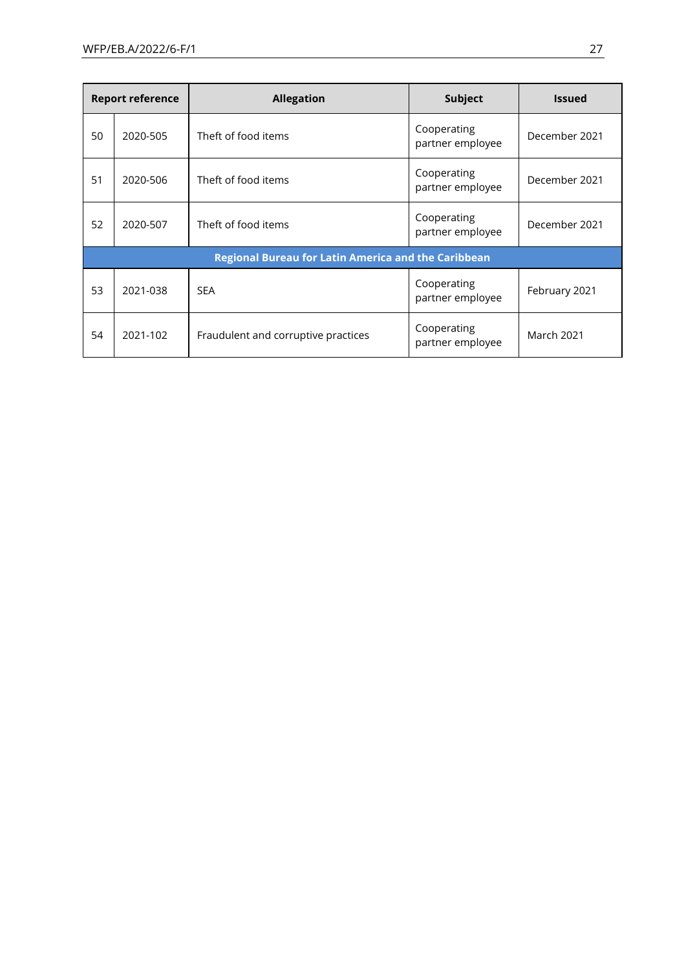| <b>Report reference</b>                                    |          | <b>Allegation</b>                   | Subject                         | <b>Issued</b>     |
|------------------------------------------------------------|----------|-------------------------------------|---------------------------------|-------------------|
| 50                                                         | 2020-505 | Theft of food items                 | Cooperating<br>partner employee | December 2021     |
| 51                                                         | 2020-506 | Theft of food items                 | Cooperating<br>partner employee | December 2021     |
| 52                                                         | 2020-507 | Theft of food items                 | Cooperating<br>partner employee | December 2021     |
| <b>Regional Bureau for Latin America and the Caribbean</b> |          |                                     |                                 |                   |
| 53                                                         | 2021-038 | <b>SEA</b>                          | Cooperating<br>partner employee | February 2021     |
| 54                                                         | 2021-102 | Fraudulent and corruptive practices | Cooperating<br>partner employee | <b>March 2021</b> |